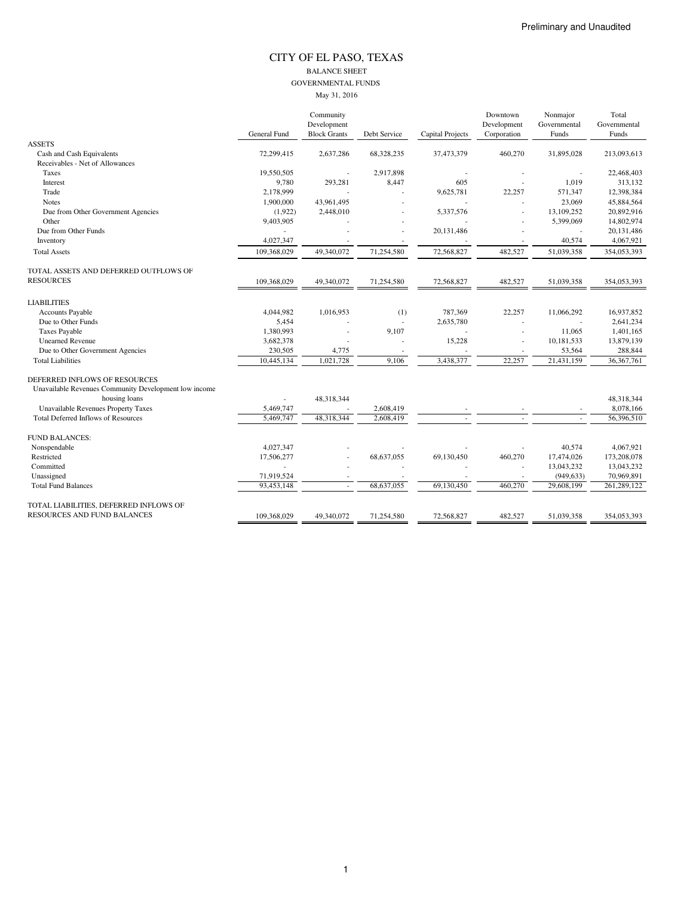#### CITY OF EL PASO, TEXAS BALANCE SHEET GOVERNMENTAL FUNDS May 31, 2016

|                                                       | Community    |                     |              |                  | Downtown    | Nonmajor     | Total        |  |
|-------------------------------------------------------|--------------|---------------------|--------------|------------------|-------------|--------------|--------------|--|
|                                                       |              | Development         |              |                  | Development | Governmental | Governmental |  |
|                                                       | General Fund | <b>Block Grants</b> | Debt Service | Capital Projects | Corporation | Funds        | Funds        |  |
| <b>ASSETS</b>                                         |              |                     |              |                  |             |              |              |  |
| Cash and Cash Equivalents                             | 72,299,415   | 2,637,286           | 68,328,235   | 37,473,379       | 460,270     | 31,895,028   | 213,093,613  |  |
| Receivables - Net of Allowances                       |              |                     |              |                  |             |              |              |  |
| Taxes                                                 | 19,550,505   |                     | 2,917,898    |                  |             |              | 22,468,403   |  |
| Interest                                              | 9,780        | 293,281             | 8,447        | 605              |             | 1,019        | 313,132      |  |
| Trade                                                 | 2,178,999    |                     |              | 9,625,781        | 22,257      | 571,347      | 12,398,384   |  |
| <b>Notes</b>                                          | 1.900.000    | 43.961.495          |              |                  |             | 23.069       | 45,884,564   |  |
| Due from Other Government Agencies                    | (1,922)      | 2,448,010           | ä,           | 5,337,576        |             | 13,109,252   | 20,892,916   |  |
| Other                                                 | 9,403,905    |                     |              |                  |             | 5,399,069    | 14,802,974   |  |
| Due from Other Funds                                  |              |                     |              | 20,131,486       |             |              | 20,131,486   |  |
| Inventory                                             | 4,027,347    |                     | ٠            |                  |             | 40,574       | 4,067,921    |  |
| <b>Total Assets</b>                                   | 109,368,029  | 49,340,072          | 71,254,580   | 72,568,827       | 482,527     | 51,039,358   | 354,053,393  |  |
| TOTAL ASSETS AND DEFERRED OUTFLOWS OF                 |              |                     |              |                  |             |              |              |  |
| <b>RESOURCES</b>                                      | 109,368,029  | 49,340,072          | 71,254,580   | 72,568,827       | 482,527     | 51,039,358   | 354,053,393  |  |
| <b>LIABILITIES</b>                                    |              |                     |              |                  |             |              |              |  |
| <b>Accounts Payable</b>                               | 4,044,982    | 1,016,953           | (1)          | 787,369          | 22,257      | 11,066,292   | 16,937,852   |  |
| Due to Other Funds                                    | 5,454        |                     | ä,           | 2,635,780        |             |              | 2,641,234    |  |
| <b>Taxes Payable</b>                                  | 1.380.993    |                     | 9,107        |                  |             | 11,065       | 1,401,165    |  |
| <b>Unearned Revenue</b>                               | 3,682,378    |                     |              | 15,228           | ä,          | 10,181,533   | 13,879,139   |  |
| Due to Other Government Agencies                      | 230,505      | 4,775               |              |                  |             | 53,564       | 288,844      |  |
| <b>Total Liabilities</b>                              | 10,445,134   | 1.021.728           | 9,106        | 3,438,377        | 22,257      | 21,431,159   | 36, 367, 761 |  |
| DEFERRED INFLOWS OF RESOURCES                         |              |                     |              |                  |             |              |              |  |
| Unavailable Revenues Community Development low income |              |                     |              |                  |             |              |              |  |
| housing loans                                         |              | 48,318,344          |              |                  |             |              | 48,318,344   |  |
| Unavailable Revenues Property Taxes                   | 5,469,747    |                     | 2,608,419    |                  |             |              | 8,078,166    |  |
| <b>Total Deferred Inflows of Resources</b>            | 5,469,747    | 48,318,344          | 2,608,419    |                  |             |              | 56,396,510   |  |
| <b>FUND BALANCES:</b>                                 |              |                     |              |                  |             |              |              |  |
| Nonspendable                                          | 4,027,347    |                     |              |                  |             | 40,574       | 4,067,921    |  |
| Restricted                                            | 17,506,277   |                     | 68,637,055   | 69,130,450       | 460,270     | 17,474,026   | 173,208,078  |  |
| Committed                                             |              |                     |              |                  |             | 13,043,232   | 13,043,232   |  |
| Unassigned                                            | 71,919,524   |                     |              |                  |             | (949, 633)   | 70,969,891   |  |
| <b>Total Fund Balances</b>                            | 93,453,148   |                     | 68,637,055   | 69,130,450       | 460,270     | 29,608,199   | 261,289,122  |  |
| TOTAL LIABILITIES, DEFERRED INFLOWS OF                |              |                     |              |                  |             |              |              |  |
| RESOURCES AND FUND BALANCES                           | 109.368.029  | 49,340,072          | 71,254,580   | 72,568,827       | 482,527     | 51,039,358   | 354,053,393  |  |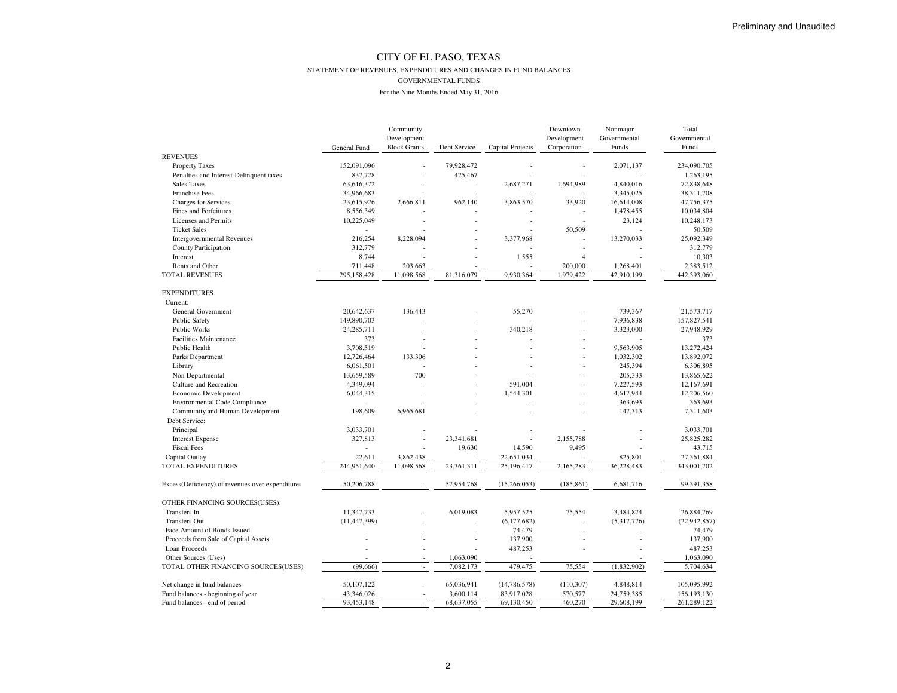#### STATEMENT OF REVENUES, EXPENDITURES AND CHANGES IN FUND BALANCES

#### GOVERNMENTAL FUNDS

|                                                  | General Fund            | Community<br>Development<br><b>Block Grants</b> | Debt Service   | Capital Projects | Downtown<br>Development<br>Corporation | Nonmajor<br>Governmental<br>Funds | Total<br>Governmental<br>Funds |
|--------------------------------------------------|-------------------------|-------------------------------------------------|----------------|------------------|----------------------------------------|-----------------------------------|--------------------------------|
| <b>REVENUES</b>                                  |                         |                                                 |                |                  |                                        |                                   |                                |
| <b>Property Taxes</b>                            | 152,091,096             |                                                 | 79,928,472     |                  |                                        | 2,071,137                         | 234,090,705                    |
| Penalties and Interest-Delinquent taxes          | 837,728                 |                                                 | 425,467        |                  |                                        |                                   | 1,263,195                      |
| <b>Sales Taxes</b>                               | 63,616,372              |                                                 |                | 2,687,271        | 1,694,989                              | 4,840,016                         | 72,838,648                     |
| <b>Franchise Fees</b>                            | 34,966,683              |                                                 |                |                  |                                        | 3,345,025                         | 38,311,708                     |
| Charges for Services                             | 23,615,926              | 2,666,811                                       | 962,140        | 3,863,570        | 33,920                                 | 16,614,008                        | 47,756,375                     |
| Fines and Forfeitures                            | 8,556,349               |                                                 |                |                  |                                        | 1,478,455                         | 10,034,804                     |
| Licenses and Permits                             | 10,225,049              |                                                 |                |                  |                                        | 23,124                            | 10,248,173                     |
| <b>Ticket Sales</b>                              |                         |                                                 |                |                  | 50,509                                 |                                   | 50,509                         |
| <b>Intergovernmental Revenues</b>                | 216,254                 | 8,228,094                                       |                | 3,377,968        |                                        | 13,270,033                        | 25,092,349                     |
| County Participation                             | 312,779                 |                                                 |                |                  |                                        |                                   | 312,779                        |
| Interest                                         | 8,744                   |                                                 |                | 1,555            | $\overline{4}$                         |                                   | 10,303                         |
| Rents and Other                                  | 711,448                 | 203,663                                         |                |                  | 200,000                                | 1,268,401                         | 2,383,512                      |
| <b>TOTAL REVENUES</b>                            | 295,158,428             | 11,098,568                                      | 81,316,079     | 9,930,364        | 1,979,422                              | 42,910,199                        | 442,393,060                    |
| <b>EXPENDITURES</b>                              |                         |                                                 |                |                  |                                        |                                   |                                |
| Current:                                         |                         |                                                 |                |                  |                                        |                                   |                                |
| General Government                               | 20,642,637              | 136,443                                         |                | 55,270           |                                        | 739,367                           | 21,573,717                     |
| Public Safety                                    | 149,890,703             |                                                 |                |                  |                                        | 7,936,838                         | 157,827,541                    |
| Public Works                                     | 24, 285, 711            |                                                 |                | 340,218          | $\overline{a}$                         | 3,323,000                         | 27,948,929                     |
| <b>Facilities Maintenance</b>                    | 373                     |                                                 |                |                  |                                        |                                   | 373                            |
| Public Health                                    | 3,708,519               |                                                 |                |                  |                                        | 9,563,905                         | 13,272,424                     |
| Parks Department                                 | 12,726,464              | 133,306                                         |                |                  |                                        | 1,032,302                         | 13,892,072                     |
| Library                                          | 6,061,501               |                                                 |                |                  |                                        | 245,394                           | 6,306,895                      |
|                                                  |                         | 700                                             |                |                  |                                        |                                   |                                |
| Non Departmental<br>Culture and Recreation       | 13,659,589<br>4,349,094 |                                                 |                | 591.004          |                                        | 205,333<br>7,227,593              | 13,865,622<br>12,167,691       |
|                                                  |                         |                                                 |                |                  | $\overline{a}$                         | 4,617,944                         | 12,206,560                     |
| Economic Development                             | 6,044,315               |                                                 |                | 1,544,301        |                                        |                                   |                                |
| <b>Environmental Code Compliance</b>             |                         |                                                 |                |                  |                                        | 363,693                           | 363,693                        |
| Community and Human Development<br>Debt Service: | 198,609                 | 6,965,681                                       |                |                  |                                        | 147,313                           | 7,311,603                      |
| Principal                                        | 3,033,701               |                                                 |                |                  |                                        |                                   | 3,033,701                      |
| <b>Interest Expense</b>                          | 327,813                 |                                                 | 23,341,681     |                  | 2,155,788                              |                                   | 25,825,282                     |
| <b>Fiscal Fees</b>                               |                         |                                                 | 19,630         | 14,590           | 9,495                                  |                                   | 43,715                         |
| Capital Outlay                                   | 22,611                  | 3,862,438                                       |                | 22,651,034       |                                        | 825,801                           | 27,361,884                     |
| TOTAL EXPENDITURES                               | 244,951,640             | 11,098,568                                      | 23,361,311     | 25,196,417       | 2,165,283                              | 36,228,483                        | 343,001,702                    |
| Excess(Deficiency) of revenues over expenditures | 50,206,788              |                                                 | 57,954,768     | (15,266,053)     | (185, 861)                             | 6,681,716                         | 99,391,358                     |
| OTHER FINANCING SOURCES(USES):                   |                         |                                                 |                |                  |                                        |                                   |                                |
| Transfers In                                     | 11,347,733              |                                                 | 6,019,083      | 5,957,525        | 75,554                                 | 3,484,874                         | 26,884,769                     |
| <b>Transfers Out</b>                             | (11, 447, 399)          |                                                 |                | (6,177,682)      |                                        | (5,317,776)                       | (22, 942, 857)                 |
| Face Amount of Bonds Issued                      |                         |                                                 | $\overline{a}$ | 74,479           |                                        |                                   | 74,479                         |
| Proceeds from Sale of Capital Assets             |                         |                                                 |                | 137,900          |                                        |                                   | 137,900                        |
| Loan Proceeds                                    |                         |                                                 |                | 487,253          |                                        |                                   | 487,253                        |
| Other Sources (Uses)                             |                         | $\overline{a}$                                  | 1,063,090      |                  |                                        |                                   | 1,063,090                      |
| TOTAL OTHER FINANCING SOURCES(USES)              | (99,666)                | ÷                                               | 7,082,173      | 479,475          | 75,554                                 | (1,832,902)                       | 5,704,634                      |
|                                                  |                         |                                                 |                |                  |                                        |                                   |                                |
| Net change in fund balances                      | 50,107,122              |                                                 | 65,036,941     | (14, 786, 578)   | (110, 307)                             | 4,848,814                         | 105,095,992                    |
| Fund balances - beginning of year                | 43,346,026              |                                                 | 3,600,114      | 83,917,028       | 570,577                                | 24,759,385                        | 156,193,130                    |
| Fund balances - end of period                    | 93,453,148              | $\overline{\phantom{a}}$                        | 68,637,055     | 69,130,450       | 460,270                                | 29,608,199                        | 261,289,122                    |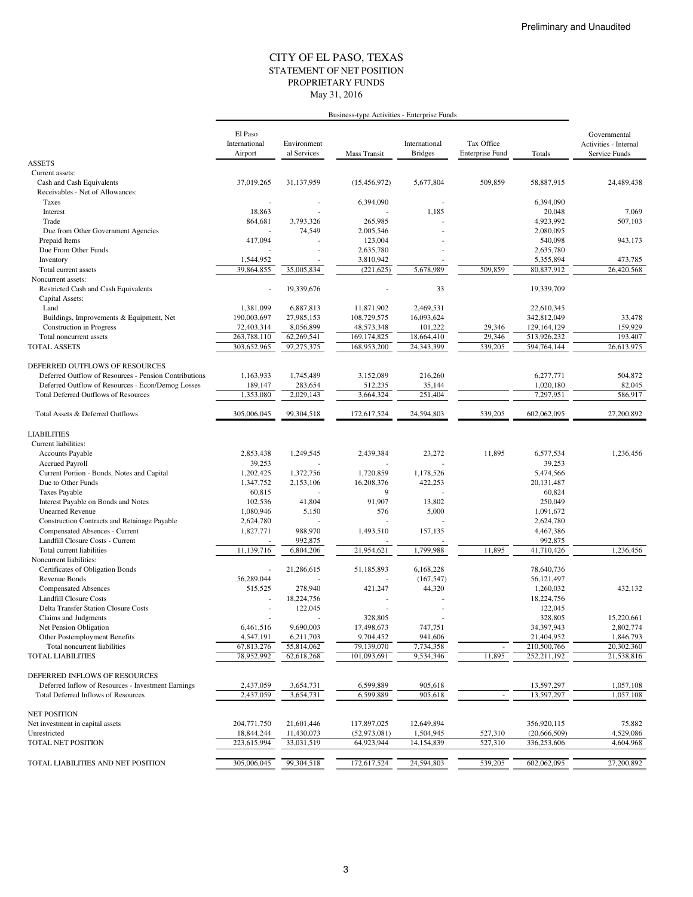#### STATEMENT OF NET POSITION CITY OF EL PASO, TEXAS May 31, 2016 PROPRIETARY FUNDS

|                                                                               |                                     |                            | Business-type Activities - Enterprise Funds |                                 |                                      |                       |                                                        |
|-------------------------------------------------------------------------------|-------------------------------------|----------------------------|---------------------------------------------|---------------------------------|--------------------------------------|-----------------------|--------------------------------------------------------|
|                                                                               | El Paso<br>International<br>Airport | Environment<br>al Services | Mass Transit                                | International<br><b>Bridges</b> | Tax Office<br><b>Enterprise Fund</b> | Totals                | Governmental<br>Activities - Internal<br>Service Funds |
| <b>ASSETS</b>                                                                 |                                     |                            |                                             |                                 |                                      |                       |                                                        |
| Current assets:                                                               |                                     |                            |                                             |                                 |                                      |                       |                                                        |
| Cash and Cash Equivalents<br>Receivables - Net of Allowances:                 | 37,019,265                          | 31,137,959                 | (15, 456, 972)                              | 5,677,804                       | 509,859                              | 58,887,915            | 24,489,438                                             |
| Taxes                                                                         |                                     |                            | 6,394,090                                   |                                 |                                      | 6,394,090             |                                                        |
| Interest                                                                      | 18,863                              |                            |                                             | 1,185                           |                                      | 20,048                | 7,069                                                  |
| Trade                                                                         | 864,681                             | 3,793,326                  | 265,985                                     |                                 |                                      | 4,923,992             | 507,103                                                |
| Due from Other Government Agencies                                            |                                     | 74,549                     | 2,005,546                                   |                                 |                                      | 2.080.095             |                                                        |
| Prepaid Items                                                                 | 417,094                             |                            | 123,004                                     |                                 |                                      | 540,098               | 943,173                                                |
| Due From Other Funds                                                          |                                     |                            | 2,635,780                                   |                                 |                                      | 2,635,780             |                                                        |
| Inventory                                                                     | 1,544,952                           |                            | 3,810,942                                   |                                 |                                      | 5,355,894             | 473,785                                                |
| Total current assets                                                          | 39,864,855                          | 35,005,834                 | (221, 625)                                  | 5,678,989                       | 509,859                              | 80,837,912            | 26,420,568                                             |
| Noncurrent assets:<br>Restricted Cash and Cash Equivalents<br>Capital Assets: |                                     | 19,339,676                 |                                             | 33                              |                                      | 19,339,709            |                                                        |
| Land                                                                          | 1,381,099                           | 6,887,813                  | 11,871,902                                  | 2,469,531                       |                                      | 22,610,345            |                                                        |
| Buildings, Improvements & Equipment, Net                                      | 190,003,697                         | 27,985,153                 | 108,729,575                                 | 16,093,624                      |                                      | 342,812,049           | 33,478                                                 |
| Construction in Progress                                                      | 72,403,314                          | 8,056,899                  | 48,573,348                                  | 101,222                         | 29,346                               | 129,164,129           | 159,929                                                |
| Total noncurrent assets                                                       | 263,788,110                         | 62,269,541                 | 169,174,825                                 | 18,664,410                      | 29,346                               | 513,926,232           | 193,407                                                |
| <b>TOTAL ASSETS</b>                                                           | 303,652,965                         | 97,275,375                 | 168,953,200                                 | 24,343,399                      | 539,205                              | 594,764,144           | 26,613,975                                             |
| DEFERRED OUTFLOWS OF RESOURCES                                                |                                     |                            |                                             |                                 |                                      |                       |                                                        |
| Deferred Outflow of Resources - Pension Contributions                         | 1,163,933                           | 1,745,489                  | 3,152,089                                   | 216,260                         |                                      | 6,277,771             | 504,872                                                |
| Deferred Outflow of Resources - Econ/Demog Losses                             | 189,147                             | 283,654                    | 512,235                                     | 35,144                          |                                      | 1,020,180             | 82,045                                                 |
| <b>Total Deferred Outflows of Resources</b>                                   | 1,353,080                           | 2,029,143                  | 3,664,324                                   | 251,404                         |                                      | 7,297,951             | 586,917                                                |
| Total Assets & Deferred Outflows                                              | 305,006,045                         | 99,304,518                 | 172,617,524                                 | 24,594,803                      | 539,205                              | 602,062,095           | 27,200,892                                             |
| <b>LIABILITIES</b>                                                            |                                     |                            |                                             |                                 |                                      |                       |                                                        |
| Current liabilities:                                                          |                                     |                            |                                             |                                 |                                      |                       |                                                        |
| <b>Accounts Payable</b>                                                       | 2,853,438                           | 1,249,545                  | 2,439,384                                   | 23,272                          | 11,895                               | 6,577,534             | 1,236,456                                              |
| <b>Accrued Payroll</b>                                                        | 39,253                              |                            |                                             |                                 |                                      | 39,253                |                                                        |
| Current Portion - Bonds, Notes and Capital                                    | 1,202,425                           | 1,372,756                  | 1,720,859                                   | 1,178,526                       |                                      | 5,474,566             |                                                        |
| Due to Other Funds                                                            | 1,347,752<br>60,815                 | 2,153,106                  | 16,208,376<br>9                             | 422,253                         |                                      | 20,131,487<br>60,824  |                                                        |
| <b>Taxes Payable</b><br>Interest Payable on Bonds and Notes                   | 102,536                             | 41,804                     | 91,907                                      | 13,802                          |                                      | 250,049               |                                                        |
| <b>Unearned Revenue</b>                                                       | 1,080,946                           | 5,150                      | 576                                         | 5,000                           |                                      | 1,091,672             |                                                        |
| Construction Contracts and Retainage Payable                                  | 2,624,780                           |                            |                                             |                                 |                                      | 2,624,780             |                                                        |
| Compensated Absences - Current                                                | 1,827,771                           | 988,970                    | 1,493,510                                   | 157,135                         |                                      | 4,467,386             |                                                        |
| Landfill Closure Costs - Current                                              |                                     | 992,875                    |                                             |                                 |                                      | 992,875               |                                                        |
| Total current liabilities                                                     | 11,139,716                          | 6,804,206                  | 21.954.621                                  | 1,799,988                       | 11,895                               | 41,710,426            | 1,236,456                                              |
| Noncurrent liabilities:                                                       |                                     |                            |                                             |                                 |                                      |                       |                                                        |
| Certificates of Obligation Bonds                                              | J,                                  | 21,286,615                 | 51,185,893                                  | 6,168,228                       |                                      | 78,640,736            |                                                        |
| Revenue Bonds                                                                 | 56,289,044                          |                            |                                             | (167, 547)                      |                                      | 56,121,497            |                                                        |
| <b>Compensated Absences</b>                                                   | 515,525                             | 278,940                    | 421,247                                     | 44,320                          |                                      | 1,260,032             | 432,132                                                |
| <b>Landfill Closure Costs</b><br>Delta Transfer Station Closure Costs         |                                     | 18,224,756                 |                                             |                                 |                                      | 18,224,756<br>122,045 |                                                        |
| Claims and Judgments                                                          |                                     | 122,045                    | 328,805                                     |                                 |                                      | 328,805               | 15,220,661                                             |
| Net Pension Obligation                                                        | 6,461,516                           | 9,690,003                  | 17,498,673                                  | 747,751                         |                                      | 34,397,943            | 2,802,774                                              |
| Other Postemployment Benefits                                                 | 4,547,191                           | 6,211,703                  | 9,704,452                                   | 941,606                         |                                      | 21,404,952            | 1,846,793                                              |
| Total noncurrent liabilities                                                  | 67,813,276                          | 55,814,062                 | 79,139,070                                  | 7,734,358                       |                                      | 210,500,766           | 20,302,360                                             |
| <b>TOTAL LIABILITIES</b>                                                      | 78,952,992                          | 62,618,268                 | 101,093,691                                 | 9,534,346                       | 11,895                               | 252,211,192           | 21,538,816                                             |
| DEFERRED INFLOWS OF RESOURCES                                                 |                                     |                            |                                             |                                 |                                      |                       |                                                        |
| Deferred Inflow of Resources - Investment Earnings                            | 2,437,059                           | 3,654,731                  | 6,599,889                                   | 905,618                         |                                      | 13,597,297            | 1,057,108                                              |
| <b>Total Deferred Inflows of Resources</b>                                    | 2,437,059                           | 3,654,731                  | 6,599,889                                   | 905,618                         | $\overline{\phantom{a}}$             | 13,597,297            | 1,057,108                                              |
| <b>NET POSITION</b>                                                           |                                     |                            |                                             |                                 |                                      |                       |                                                        |
| Net investment in capital assets                                              | 204,771,750                         | 21,601,446                 | 117,897,025                                 | 12,649,894                      |                                      | 356,920,115           | 75,882                                                 |
| Unrestricted                                                                  | 18,844,244                          | 11,430,073                 | (52, 973, 081)                              | 1,504,945                       | 527,310                              | (20, 666, 509)        | 4,529,086                                              |
| <b>TOTAL NET POSITION</b>                                                     | 223,615,994                         | 33,031,519                 | 64,923,944                                  | 14,154,839                      | 527,310                              | 336,253,606           | 4,604,968                                              |
| TOTAL LIABILITIES AND NET POSITION                                            | 305,006,045                         | 99,304,518                 | 172,617,524                                 | 24,594,803                      | 539,205                              | 602,062,095           | 27,200,892                                             |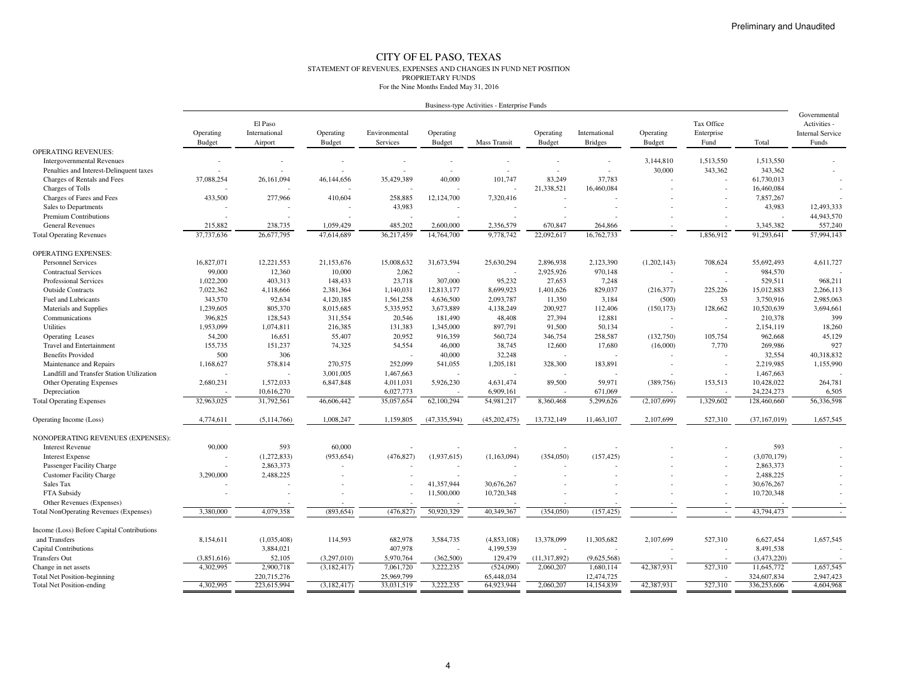#### CITY OF EL PASO, TEXAS STATEMENT OF REVENUES, EXPENSES AND CHANGES IN FUND NET POSITIONPROPRIETARY FUNDSFor the Nine Months Ended May 31, 2016

| Business-type Activities - Enterprise Funds |  |  |
|---------------------------------------------|--|--|
|                                             |  |  |

| <b>OPERATING REVENUES:</b><br>3,144,810<br>1,513,550<br>1,513,550<br><b>Intergovernmental Revenues</b><br>30,000<br>343,362<br>343,362<br>Penalties and Interest-Delinquent taxes<br>35,429,389<br>101,747<br>83,249<br>Charges of Rentals and Fees<br>37,088,254<br>26,161,094<br>46,144,656<br>40,000<br>37.783<br>61,730,013<br>Charges of Tolls<br>21,338,521<br>16,460,084<br>16,460,084<br>433,500<br>258,885<br>7,857,267<br>Charges of Fares and Fees<br>277,966<br>410,604<br>12,124,700<br>7,320,416<br>43,983<br>43,983<br>12,493,333<br>Sales to Departments<br>44,943,570<br>Premium Contributions<br><b>General Revenues</b><br>215,882<br>238,735<br>1,059,429<br>485,202<br>2,600,000<br>2,356,579<br>670,847<br>264,866<br>3,345,382<br>557,240<br>57,994,143<br>26,677,795<br>36,217,459<br>22,092,617<br>16,762,733<br>1,856,912<br>91,293,641<br>37,737,636<br>47,614,689<br>14,764,700<br>9,778,742<br><b>Total Operating Revenues</b><br><b>OPERATING EXPENSES:</b><br><b>Personnel Services</b><br>16,827,071<br>12,221,553<br>21,153,676<br>15,008,632<br>31,673,594<br>25,630,294<br>2,896,938<br>2,123,390<br>(1,202,143)<br>708,624<br>55,692,493<br>4,611,727<br>2,062<br>99,000<br>12,360<br>10,000<br>2,925,926<br>970,148<br>984,570<br><b>Contractual Services</b><br><b>Professional Services</b><br>1,022,200<br>403,313<br>23,718<br>307,000<br>95,232<br>27,653<br>529,511<br>968,211<br>148,433<br>7,248<br>7,022,362<br>1,140,031<br>829,037<br>225.226<br>15,012,883<br>2,266,113<br><b>Outside Contracts</b><br>4,118,666<br>2,381,364<br>12,813,177<br>8,699,923<br>1,401,626<br>(216,377)<br>2,985,063<br>343,570<br>92,634<br>4,120,185<br>1,561,258<br>4,636,500<br>2,093,787<br>11,350<br>3,184<br>(500)<br>53<br>3,750,916<br>Fuel and Lubricants<br>Materials and Supplies<br>1,239,605<br>805,370<br>8,015,685<br>5,335,952<br>3,673,889<br>4,138,249<br>200,927<br>112,406<br>(150, 173)<br>128,662<br>10,520,639<br>3,694,661<br>399<br>Communications<br>396,825<br>128,543<br>20,546<br>48,408<br>27,394<br>12,881<br>210,378<br>311,554<br>181,490<br>Utilities<br>1,953,099<br>1,074,811<br>216,385<br>131,383<br>1,345,000<br>897,791<br>91,500<br>50,134<br>2,154,119<br>18,260<br>54,200<br>16,651<br>20,952<br>560,724<br>346,754<br>258,587<br>(132,750)<br>962,668<br>45,129<br>55,407<br>916,359<br>105,754<br>Operating Leases<br>927<br>Travel and Entertainment<br>155,735<br>151,237<br>74,325<br>54,554<br>46,000<br>38,745<br>12,600<br>17,680<br>(16,000)<br>7,770<br>269,986<br>500<br>306<br>40,000<br>32,248<br>32,554<br>40,318,832<br><b>Benefits Provided</b><br>252,099<br>1,168,627<br>578,814<br>270,575<br>328,300<br>183,891<br>2,219,985<br>1,155,990<br>Maintenance and Repairs<br>541,055<br>1,205,181<br>Landfill and Transfer Station Utilization<br>3,001,005<br>1,467,663<br>1,467,663<br>2,680,231<br>1,572,033<br>6,847,848<br>4,011,031<br>5,926,230<br>4,631,474<br>89,500<br>59,971<br>(389, 756)<br>153,513<br>10,428,022<br>264,781<br><b>Other Operating Expenses</b><br>Depreciation<br>10,616,270<br>6,027,773<br>6,909,161<br>671,069<br>24, 224, 273<br>6,505<br>32,963,025<br>31,792,561<br>46,606,442<br>35,057,654<br>62,100,294<br>54,981,217<br>5,299,626<br>(2,107,699)<br>1,329,602<br>128,460,660<br>56,336,598<br><b>Total Operating Expenses</b><br>8,360,468<br>(47, 335, 594)<br>13,732,149<br>2,107,699<br>527,310<br>1,657,545<br>4,774,611<br>(5,114,766)<br>1,008,247<br>1,159,805<br>(45,202,475)<br>11,463,107<br>(37, 167, 019)<br>Operating Income (Loss)<br>NONOPERATING REVENUES (EXPENSES):<br>593<br>593<br>90,000<br>60,000<br><b>Interest Revenue</b><br>(1,272,833)<br>(476, 827)<br>(1,163,094)<br>(157, 425)<br>(953, 654)<br>(1,937,615)<br>(354,050)<br>(3,070,179)<br><b>Interest Expense</b><br>2,863,373<br>Passenger Facility Charge<br>2,863,373<br><b>Customer Facility Charge</b><br>3,290,000<br>2,488,225<br>2,488,225<br>41,357,944<br>30,676,267<br>30,676,267<br>Sales Tax<br>11,500,000<br>10,720,348<br>10,720,348<br>FTA Subsidy<br>Other Revenues (Expenses)<br>50,920,329<br>40,349,367<br>43,794,473<br>3,380,000<br>4,079,358<br>(893, 654)<br>(476, 827)<br>(354, 050)<br>(157, 425)<br><b>Total NonOperating Revenues (Expenses)</b><br>$\sim$<br>$\overline{\phantom{a}}$<br>Income (Loss) Before Capital Contributions<br>114,593<br>3,584,735<br>13,378,099<br>6,627,454<br>1,657,545<br>and Transfers<br>8,154,611<br>(1,035,408)<br>682,978<br>(4,853,108)<br>11,305,682<br>2,107,699<br>527,310<br><b>Capital Contributions</b><br>3,884,021<br>407,978<br>4,199,539<br>8,491,538<br><b>Transfers Out</b><br>(3,851,616)<br>52,105<br>(3,297,010)<br>5,970,764<br>(362,500)<br>129,479<br>(11, 317, 892)<br>(9,625,568)<br>(3,473,220)<br>1,657,545<br>4,302,995<br>2,900,718<br>7,061,720<br>3,222,235<br>(524,090)<br>2,060,207<br>1,680,114<br>42,387,931<br>527,310<br>11,645,772<br>(3, 182, 417)<br>Change in net assets<br>220,715,276<br>25,969,799<br>65,448,034<br>12,474,725<br>324,607,834<br>2,947,423<br><b>Total Net Position-beginning</b><br>223,615,994<br>33,031,519<br>3,222,235<br>64,923,944<br>2,060,207<br>14,154,839<br>42,387,931<br>527,310<br>336,253,606<br>4,604,968<br><b>Total Net Position-ending</b><br>4,302,995<br>(3,182,417) | Operating<br><b>Budget</b> | El Paso<br>International<br>Airport | Operating<br><b>Budget</b> | Environmental<br>Services | Operating<br><b>Budget</b> | <b>Mass Transit</b> | Operating<br><b>Budget</b> | International<br><b>Bridges</b> | Operating<br><b>Budget</b> | Tax Office<br>Enterprise<br>Fund | Total | Governmental<br>Activities -<br><b>Internal Service</b><br>Funds |
|--------------------------------------------------------------------------------------------------------------------------------------------------------------------------------------------------------------------------------------------------------------------------------------------------------------------------------------------------------------------------------------------------------------------------------------------------------------------------------------------------------------------------------------------------------------------------------------------------------------------------------------------------------------------------------------------------------------------------------------------------------------------------------------------------------------------------------------------------------------------------------------------------------------------------------------------------------------------------------------------------------------------------------------------------------------------------------------------------------------------------------------------------------------------------------------------------------------------------------------------------------------------------------------------------------------------------------------------------------------------------------------------------------------------------------------------------------------------------------------------------------------------------------------------------------------------------------------------------------------------------------------------------------------------------------------------------------------------------------------------------------------------------------------------------------------------------------------------------------------------------------------------------------------------------------------------------------------------------------------------------------------------------------------------------------------------------------------------------------------------------------------------------------------------------------------------------------------------------------------------------------------------------------------------------------------------------------------------------------------------------------------------------------------------------------------------------------------------------------------------------------------------------------------------------------------------------------------------------------------------------------------------------------------------------------------------------------------------------------------------------------------------------------------------------------------------------------------------------------------------------------------------------------------------------------------------------------------------------------------------------------------------------------------------------------------------------------------------------------------------------------------------------------------------------------------------------------------------------------------------------------------------------------------------------------------------------------------------------------------------------------------------------------------------------------------------------------------------------------------------------------------------------------------------------------------------------------------------------------------------------------------------------------------------------------------------------------------------------------------------------------------------------------------------------------------------------------------------------------------------------------------------------------------------------------------------------------------------------------------------------------------------------------------------------------------------------------------------------------------------------------------------------------------------------------------------------------------------------------------------------------------------------------------------------------------------------------------------------------------------------------------------------------------------------------------------------------------------------------------------------------------------------------------------------------------------------------------------------------------------------------------------------------------------------------------------------------------------------------------------------------------------------------------------------------------------------------------------------------------------------------------------------------------------------------------------------------------------------------------------------------------------------------------------------------------------------------------------------------------------------------------------------------------------------------------------------------------------------------------------------------------------------------------------------------------------------------|----------------------------|-------------------------------------|----------------------------|---------------------------|----------------------------|---------------------|----------------------------|---------------------------------|----------------------------|----------------------------------|-------|------------------------------------------------------------------|
|                                                                                                                                                                                                                                                                                                                                                                                                                                                                                                                                                                                                                                                                                                                                                                                                                                                                                                                                                                                                                                                                                                                                                                                                                                                                                                                                                                                                                                                                                                                                                                                                                                                                                                                                                                                                                                                                                                                                                                                                                                                                                                                                                                                                                                                                                                                                                                                                                                                                                                                                                                                                                                                                                                                                                                                                                                                                                                                                                                                                                                                                                                                                                                                                                                                                                                                                                                                                                                                                                                                                                                                                                                                                                                                                                                                                                                                                                                                                                                                                                                                                                                                                                                                                                                                                                                                                                                                                                                                                                                                                                                                                                                                                                                                                                                                                                                                                                                                                                                                                                                                                                                                                                                                                                                                                                                                                |                            |                                     |                            |                           |                            |                     |                            |                                 |                            |                                  |       |                                                                  |
|                                                                                                                                                                                                                                                                                                                                                                                                                                                                                                                                                                                                                                                                                                                                                                                                                                                                                                                                                                                                                                                                                                                                                                                                                                                                                                                                                                                                                                                                                                                                                                                                                                                                                                                                                                                                                                                                                                                                                                                                                                                                                                                                                                                                                                                                                                                                                                                                                                                                                                                                                                                                                                                                                                                                                                                                                                                                                                                                                                                                                                                                                                                                                                                                                                                                                                                                                                                                                                                                                                                                                                                                                                                                                                                                                                                                                                                                                                                                                                                                                                                                                                                                                                                                                                                                                                                                                                                                                                                                                                                                                                                                                                                                                                                                                                                                                                                                                                                                                                                                                                                                                                                                                                                                                                                                                                                                |                            |                                     |                            |                           |                            |                     |                            |                                 |                            |                                  |       |                                                                  |
|                                                                                                                                                                                                                                                                                                                                                                                                                                                                                                                                                                                                                                                                                                                                                                                                                                                                                                                                                                                                                                                                                                                                                                                                                                                                                                                                                                                                                                                                                                                                                                                                                                                                                                                                                                                                                                                                                                                                                                                                                                                                                                                                                                                                                                                                                                                                                                                                                                                                                                                                                                                                                                                                                                                                                                                                                                                                                                                                                                                                                                                                                                                                                                                                                                                                                                                                                                                                                                                                                                                                                                                                                                                                                                                                                                                                                                                                                                                                                                                                                                                                                                                                                                                                                                                                                                                                                                                                                                                                                                                                                                                                                                                                                                                                                                                                                                                                                                                                                                                                                                                                                                                                                                                                                                                                                                                                |                            |                                     |                            |                           |                            |                     |                            |                                 |                            |                                  |       |                                                                  |
|                                                                                                                                                                                                                                                                                                                                                                                                                                                                                                                                                                                                                                                                                                                                                                                                                                                                                                                                                                                                                                                                                                                                                                                                                                                                                                                                                                                                                                                                                                                                                                                                                                                                                                                                                                                                                                                                                                                                                                                                                                                                                                                                                                                                                                                                                                                                                                                                                                                                                                                                                                                                                                                                                                                                                                                                                                                                                                                                                                                                                                                                                                                                                                                                                                                                                                                                                                                                                                                                                                                                                                                                                                                                                                                                                                                                                                                                                                                                                                                                                                                                                                                                                                                                                                                                                                                                                                                                                                                                                                                                                                                                                                                                                                                                                                                                                                                                                                                                                                                                                                                                                                                                                                                                                                                                                                                                |                            |                                     |                            |                           |                            |                     |                            |                                 |                            |                                  |       |                                                                  |
|                                                                                                                                                                                                                                                                                                                                                                                                                                                                                                                                                                                                                                                                                                                                                                                                                                                                                                                                                                                                                                                                                                                                                                                                                                                                                                                                                                                                                                                                                                                                                                                                                                                                                                                                                                                                                                                                                                                                                                                                                                                                                                                                                                                                                                                                                                                                                                                                                                                                                                                                                                                                                                                                                                                                                                                                                                                                                                                                                                                                                                                                                                                                                                                                                                                                                                                                                                                                                                                                                                                                                                                                                                                                                                                                                                                                                                                                                                                                                                                                                                                                                                                                                                                                                                                                                                                                                                                                                                                                                                                                                                                                                                                                                                                                                                                                                                                                                                                                                                                                                                                                                                                                                                                                                                                                                                                                |                            |                                     |                            |                           |                            |                     |                            |                                 |                            |                                  |       |                                                                  |
|                                                                                                                                                                                                                                                                                                                                                                                                                                                                                                                                                                                                                                                                                                                                                                                                                                                                                                                                                                                                                                                                                                                                                                                                                                                                                                                                                                                                                                                                                                                                                                                                                                                                                                                                                                                                                                                                                                                                                                                                                                                                                                                                                                                                                                                                                                                                                                                                                                                                                                                                                                                                                                                                                                                                                                                                                                                                                                                                                                                                                                                                                                                                                                                                                                                                                                                                                                                                                                                                                                                                                                                                                                                                                                                                                                                                                                                                                                                                                                                                                                                                                                                                                                                                                                                                                                                                                                                                                                                                                                                                                                                                                                                                                                                                                                                                                                                                                                                                                                                                                                                                                                                                                                                                                                                                                                                                |                            |                                     |                            |                           |                            |                     |                            |                                 |                            |                                  |       |                                                                  |
|                                                                                                                                                                                                                                                                                                                                                                                                                                                                                                                                                                                                                                                                                                                                                                                                                                                                                                                                                                                                                                                                                                                                                                                                                                                                                                                                                                                                                                                                                                                                                                                                                                                                                                                                                                                                                                                                                                                                                                                                                                                                                                                                                                                                                                                                                                                                                                                                                                                                                                                                                                                                                                                                                                                                                                                                                                                                                                                                                                                                                                                                                                                                                                                                                                                                                                                                                                                                                                                                                                                                                                                                                                                                                                                                                                                                                                                                                                                                                                                                                                                                                                                                                                                                                                                                                                                                                                                                                                                                                                                                                                                                                                                                                                                                                                                                                                                                                                                                                                                                                                                                                                                                                                                                                                                                                                                                |                            |                                     |                            |                           |                            |                     |                            |                                 |                            |                                  |       |                                                                  |
|                                                                                                                                                                                                                                                                                                                                                                                                                                                                                                                                                                                                                                                                                                                                                                                                                                                                                                                                                                                                                                                                                                                                                                                                                                                                                                                                                                                                                                                                                                                                                                                                                                                                                                                                                                                                                                                                                                                                                                                                                                                                                                                                                                                                                                                                                                                                                                                                                                                                                                                                                                                                                                                                                                                                                                                                                                                                                                                                                                                                                                                                                                                                                                                                                                                                                                                                                                                                                                                                                                                                                                                                                                                                                                                                                                                                                                                                                                                                                                                                                                                                                                                                                                                                                                                                                                                                                                                                                                                                                                                                                                                                                                                                                                                                                                                                                                                                                                                                                                                                                                                                                                                                                                                                                                                                                                                                |                            |                                     |                            |                           |                            |                     |                            |                                 |                            |                                  |       |                                                                  |
|                                                                                                                                                                                                                                                                                                                                                                                                                                                                                                                                                                                                                                                                                                                                                                                                                                                                                                                                                                                                                                                                                                                                                                                                                                                                                                                                                                                                                                                                                                                                                                                                                                                                                                                                                                                                                                                                                                                                                                                                                                                                                                                                                                                                                                                                                                                                                                                                                                                                                                                                                                                                                                                                                                                                                                                                                                                                                                                                                                                                                                                                                                                                                                                                                                                                                                                                                                                                                                                                                                                                                                                                                                                                                                                                                                                                                                                                                                                                                                                                                                                                                                                                                                                                                                                                                                                                                                                                                                                                                                                                                                                                                                                                                                                                                                                                                                                                                                                                                                                                                                                                                                                                                                                                                                                                                                                                |                            |                                     |                            |                           |                            |                     |                            |                                 |                            |                                  |       |                                                                  |
|                                                                                                                                                                                                                                                                                                                                                                                                                                                                                                                                                                                                                                                                                                                                                                                                                                                                                                                                                                                                                                                                                                                                                                                                                                                                                                                                                                                                                                                                                                                                                                                                                                                                                                                                                                                                                                                                                                                                                                                                                                                                                                                                                                                                                                                                                                                                                                                                                                                                                                                                                                                                                                                                                                                                                                                                                                                                                                                                                                                                                                                                                                                                                                                                                                                                                                                                                                                                                                                                                                                                                                                                                                                                                                                                                                                                                                                                                                                                                                                                                                                                                                                                                                                                                                                                                                                                                                                                                                                                                                                                                                                                                                                                                                                                                                                                                                                                                                                                                                                                                                                                                                                                                                                                                                                                                                                                |                            |                                     |                            |                           |                            |                     |                            |                                 |                            |                                  |       |                                                                  |
|                                                                                                                                                                                                                                                                                                                                                                                                                                                                                                                                                                                                                                                                                                                                                                                                                                                                                                                                                                                                                                                                                                                                                                                                                                                                                                                                                                                                                                                                                                                                                                                                                                                                                                                                                                                                                                                                                                                                                                                                                                                                                                                                                                                                                                                                                                                                                                                                                                                                                                                                                                                                                                                                                                                                                                                                                                                                                                                                                                                                                                                                                                                                                                                                                                                                                                                                                                                                                                                                                                                                                                                                                                                                                                                                                                                                                                                                                                                                                                                                                                                                                                                                                                                                                                                                                                                                                                                                                                                                                                                                                                                                                                                                                                                                                                                                                                                                                                                                                                                                                                                                                                                                                                                                                                                                                                                                |                            |                                     |                            |                           |                            |                     |                            |                                 |                            |                                  |       |                                                                  |
|                                                                                                                                                                                                                                                                                                                                                                                                                                                                                                                                                                                                                                                                                                                                                                                                                                                                                                                                                                                                                                                                                                                                                                                                                                                                                                                                                                                                                                                                                                                                                                                                                                                                                                                                                                                                                                                                                                                                                                                                                                                                                                                                                                                                                                                                                                                                                                                                                                                                                                                                                                                                                                                                                                                                                                                                                                                                                                                                                                                                                                                                                                                                                                                                                                                                                                                                                                                                                                                                                                                                                                                                                                                                                                                                                                                                                                                                                                                                                                                                                                                                                                                                                                                                                                                                                                                                                                                                                                                                                                                                                                                                                                                                                                                                                                                                                                                                                                                                                                                                                                                                                                                                                                                                                                                                                                                                |                            |                                     |                            |                           |                            |                     |                            |                                 |                            |                                  |       |                                                                  |
|                                                                                                                                                                                                                                                                                                                                                                                                                                                                                                                                                                                                                                                                                                                                                                                                                                                                                                                                                                                                                                                                                                                                                                                                                                                                                                                                                                                                                                                                                                                                                                                                                                                                                                                                                                                                                                                                                                                                                                                                                                                                                                                                                                                                                                                                                                                                                                                                                                                                                                                                                                                                                                                                                                                                                                                                                                                                                                                                                                                                                                                                                                                                                                                                                                                                                                                                                                                                                                                                                                                                                                                                                                                                                                                                                                                                                                                                                                                                                                                                                                                                                                                                                                                                                                                                                                                                                                                                                                                                                                                                                                                                                                                                                                                                                                                                                                                                                                                                                                                                                                                                                                                                                                                                                                                                                                                                |                            |                                     |                            |                           |                            |                     |                            |                                 |                            |                                  |       |                                                                  |
|                                                                                                                                                                                                                                                                                                                                                                                                                                                                                                                                                                                                                                                                                                                                                                                                                                                                                                                                                                                                                                                                                                                                                                                                                                                                                                                                                                                                                                                                                                                                                                                                                                                                                                                                                                                                                                                                                                                                                                                                                                                                                                                                                                                                                                                                                                                                                                                                                                                                                                                                                                                                                                                                                                                                                                                                                                                                                                                                                                                                                                                                                                                                                                                                                                                                                                                                                                                                                                                                                                                                                                                                                                                                                                                                                                                                                                                                                                                                                                                                                                                                                                                                                                                                                                                                                                                                                                                                                                                                                                                                                                                                                                                                                                                                                                                                                                                                                                                                                                                                                                                                                                                                                                                                                                                                                                                                |                            |                                     |                            |                           |                            |                     |                            |                                 |                            |                                  |       |                                                                  |
|                                                                                                                                                                                                                                                                                                                                                                                                                                                                                                                                                                                                                                                                                                                                                                                                                                                                                                                                                                                                                                                                                                                                                                                                                                                                                                                                                                                                                                                                                                                                                                                                                                                                                                                                                                                                                                                                                                                                                                                                                                                                                                                                                                                                                                                                                                                                                                                                                                                                                                                                                                                                                                                                                                                                                                                                                                                                                                                                                                                                                                                                                                                                                                                                                                                                                                                                                                                                                                                                                                                                                                                                                                                                                                                                                                                                                                                                                                                                                                                                                                                                                                                                                                                                                                                                                                                                                                                                                                                                                                                                                                                                                                                                                                                                                                                                                                                                                                                                                                                                                                                                                                                                                                                                                                                                                                                                |                            |                                     |                            |                           |                            |                     |                            |                                 |                            |                                  |       |                                                                  |
|                                                                                                                                                                                                                                                                                                                                                                                                                                                                                                                                                                                                                                                                                                                                                                                                                                                                                                                                                                                                                                                                                                                                                                                                                                                                                                                                                                                                                                                                                                                                                                                                                                                                                                                                                                                                                                                                                                                                                                                                                                                                                                                                                                                                                                                                                                                                                                                                                                                                                                                                                                                                                                                                                                                                                                                                                                                                                                                                                                                                                                                                                                                                                                                                                                                                                                                                                                                                                                                                                                                                                                                                                                                                                                                                                                                                                                                                                                                                                                                                                                                                                                                                                                                                                                                                                                                                                                                                                                                                                                                                                                                                                                                                                                                                                                                                                                                                                                                                                                                                                                                                                                                                                                                                                                                                                                                                |                            |                                     |                            |                           |                            |                     |                            |                                 |                            |                                  |       |                                                                  |
|                                                                                                                                                                                                                                                                                                                                                                                                                                                                                                                                                                                                                                                                                                                                                                                                                                                                                                                                                                                                                                                                                                                                                                                                                                                                                                                                                                                                                                                                                                                                                                                                                                                                                                                                                                                                                                                                                                                                                                                                                                                                                                                                                                                                                                                                                                                                                                                                                                                                                                                                                                                                                                                                                                                                                                                                                                                                                                                                                                                                                                                                                                                                                                                                                                                                                                                                                                                                                                                                                                                                                                                                                                                                                                                                                                                                                                                                                                                                                                                                                                                                                                                                                                                                                                                                                                                                                                                                                                                                                                                                                                                                                                                                                                                                                                                                                                                                                                                                                                                                                                                                                                                                                                                                                                                                                                                                |                            |                                     |                            |                           |                            |                     |                            |                                 |                            |                                  |       |                                                                  |
|                                                                                                                                                                                                                                                                                                                                                                                                                                                                                                                                                                                                                                                                                                                                                                                                                                                                                                                                                                                                                                                                                                                                                                                                                                                                                                                                                                                                                                                                                                                                                                                                                                                                                                                                                                                                                                                                                                                                                                                                                                                                                                                                                                                                                                                                                                                                                                                                                                                                                                                                                                                                                                                                                                                                                                                                                                                                                                                                                                                                                                                                                                                                                                                                                                                                                                                                                                                                                                                                                                                                                                                                                                                                                                                                                                                                                                                                                                                                                                                                                                                                                                                                                                                                                                                                                                                                                                                                                                                                                                                                                                                                                                                                                                                                                                                                                                                                                                                                                                                                                                                                                                                                                                                                                                                                                                                                |                            |                                     |                            |                           |                            |                     |                            |                                 |                            |                                  |       |                                                                  |
|                                                                                                                                                                                                                                                                                                                                                                                                                                                                                                                                                                                                                                                                                                                                                                                                                                                                                                                                                                                                                                                                                                                                                                                                                                                                                                                                                                                                                                                                                                                                                                                                                                                                                                                                                                                                                                                                                                                                                                                                                                                                                                                                                                                                                                                                                                                                                                                                                                                                                                                                                                                                                                                                                                                                                                                                                                                                                                                                                                                                                                                                                                                                                                                                                                                                                                                                                                                                                                                                                                                                                                                                                                                                                                                                                                                                                                                                                                                                                                                                                                                                                                                                                                                                                                                                                                                                                                                                                                                                                                                                                                                                                                                                                                                                                                                                                                                                                                                                                                                                                                                                                                                                                                                                                                                                                                                                |                            |                                     |                            |                           |                            |                     |                            |                                 |                            |                                  |       |                                                                  |
|                                                                                                                                                                                                                                                                                                                                                                                                                                                                                                                                                                                                                                                                                                                                                                                                                                                                                                                                                                                                                                                                                                                                                                                                                                                                                                                                                                                                                                                                                                                                                                                                                                                                                                                                                                                                                                                                                                                                                                                                                                                                                                                                                                                                                                                                                                                                                                                                                                                                                                                                                                                                                                                                                                                                                                                                                                                                                                                                                                                                                                                                                                                                                                                                                                                                                                                                                                                                                                                                                                                                                                                                                                                                                                                                                                                                                                                                                                                                                                                                                                                                                                                                                                                                                                                                                                                                                                                                                                                                                                                                                                                                                                                                                                                                                                                                                                                                                                                                                                                                                                                                                                                                                                                                                                                                                                                                |                            |                                     |                            |                           |                            |                     |                            |                                 |                            |                                  |       |                                                                  |
|                                                                                                                                                                                                                                                                                                                                                                                                                                                                                                                                                                                                                                                                                                                                                                                                                                                                                                                                                                                                                                                                                                                                                                                                                                                                                                                                                                                                                                                                                                                                                                                                                                                                                                                                                                                                                                                                                                                                                                                                                                                                                                                                                                                                                                                                                                                                                                                                                                                                                                                                                                                                                                                                                                                                                                                                                                                                                                                                                                                                                                                                                                                                                                                                                                                                                                                                                                                                                                                                                                                                                                                                                                                                                                                                                                                                                                                                                                                                                                                                                                                                                                                                                                                                                                                                                                                                                                                                                                                                                                                                                                                                                                                                                                                                                                                                                                                                                                                                                                                                                                                                                                                                                                                                                                                                                                                                |                            |                                     |                            |                           |                            |                     |                            |                                 |                            |                                  |       |                                                                  |
|                                                                                                                                                                                                                                                                                                                                                                                                                                                                                                                                                                                                                                                                                                                                                                                                                                                                                                                                                                                                                                                                                                                                                                                                                                                                                                                                                                                                                                                                                                                                                                                                                                                                                                                                                                                                                                                                                                                                                                                                                                                                                                                                                                                                                                                                                                                                                                                                                                                                                                                                                                                                                                                                                                                                                                                                                                                                                                                                                                                                                                                                                                                                                                                                                                                                                                                                                                                                                                                                                                                                                                                                                                                                                                                                                                                                                                                                                                                                                                                                                                                                                                                                                                                                                                                                                                                                                                                                                                                                                                                                                                                                                                                                                                                                                                                                                                                                                                                                                                                                                                                                                                                                                                                                                                                                                                                                |                            |                                     |                            |                           |                            |                     |                            |                                 |                            |                                  |       |                                                                  |
|                                                                                                                                                                                                                                                                                                                                                                                                                                                                                                                                                                                                                                                                                                                                                                                                                                                                                                                                                                                                                                                                                                                                                                                                                                                                                                                                                                                                                                                                                                                                                                                                                                                                                                                                                                                                                                                                                                                                                                                                                                                                                                                                                                                                                                                                                                                                                                                                                                                                                                                                                                                                                                                                                                                                                                                                                                                                                                                                                                                                                                                                                                                                                                                                                                                                                                                                                                                                                                                                                                                                                                                                                                                                                                                                                                                                                                                                                                                                                                                                                                                                                                                                                                                                                                                                                                                                                                                                                                                                                                                                                                                                                                                                                                                                                                                                                                                                                                                                                                                                                                                                                                                                                                                                                                                                                                                                |                            |                                     |                            |                           |                            |                     |                            |                                 |                            |                                  |       |                                                                  |
|                                                                                                                                                                                                                                                                                                                                                                                                                                                                                                                                                                                                                                                                                                                                                                                                                                                                                                                                                                                                                                                                                                                                                                                                                                                                                                                                                                                                                                                                                                                                                                                                                                                                                                                                                                                                                                                                                                                                                                                                                                                                                                                                                                                                                                                                                                                                                                                                                                                                                                                                                                                                                                                                                                                                                                                                                                                                                                                                                                                                                                                                                                                                                                                                                                                                                                                                                                                                                                                                                                                                                                                                                                                                                                                                                                                                                                                                                                                                                                                                                                                                                                                                                                                                                                                                                                                                                                                                                                                                                                                                                                                                                                                                                                                                                                                                                                                                                                                                                                                                                                                                                                                                                                                                                                                                                                                                |                            |                                     |                            |                           |                            |                     |                            |                                 |                            |                                  |       |                                                                  |
|                                                                                                                                                                                                                                                                                                                                                                                                                                                                                                                                                                                                                                                                                                                                                                                                                                                                                                                                                                                                                                                                                                                                                                                                                                                                                                                                                                                                                                                                                                                                                                                                                                                                                                                                                                                                                                                                                                                                                                                                                                                                                                                                                                                                                                                                                                                                                                                                                                                                                                                                                                                                                                                                                                                                                                                                                                                                                                                                                                                                                                                                                                                                                                                                                                                                                                                                                                                                                                                                                                                                                                                                                                                                                                                                                                                                                                                                                                                                                                                                                                                                                                                                                                                                                                                                                                                                                                                                                                                                                                                                                                                                                                                                                                                                                                                                                                                                                                                                                                                                                                                                                                                                                                                                                                                                                                                                |                            |                                     |                            |                           |                            |                     |                            |                                 |                            |                                  |       |                                                                  |
|                                                                                                                                                                                                                                                                                                                                                                                                                                                                                                                                                                                                                                                                                                                                                                                                                                                                                                                                                                                                                                                                                                                                                                                                                                                                                                                                                                                                                                                                                                                                                                                                                                                                                                                                                                                                                                                                                                                                                                                                                                                                                                                                                                                                                                                                                                                                                                                                                                                                                                                                                                                                                                                                                                                                                                                                                                                                                                                                                                                                                                                                                                                                                                                                                                                                                                                                                                                                                                                                                                                                                                                                                                                                                                                                                                                                                                                                                                                                                                                                                                                                                                                                                                                                                                                                                                                                                                                                                                                                                                                                                                                                                                                                                                                                                                                                                                                                                                                                                                                                                                                                                                                                                                                                                                                                                                                                |                            |                                     |                            |                           |                            |                     |                            |                                 |                            |                                  |       |                                                                  |
|                                                                                                                                                                                                                                                                                                                                                                                                                                                                                                                                                                                                                                                                                                                                                                                                                                                                                                                                                                                                                                                                                                                                                                                                                                                                                                                                                                                                                                                                                                                                                                                                                                                                                                                                                                                                                                                                                                                                                                                                                                                                                                                                                                                                                                                                                                                                                                                                                                                                                                                                                                                                                                                                                                                                                                                                                                                                                                                                                                                                                                                                                                                                                                                                                                                                                                                                                                                                                                                                                                                                                                                                                                                                                                                                                                                                                                                                                                                                                                                                                                                                                                                                                                                                                                                                                                                                                                                                                                                                                                                                                                                                                                                                                                                                                                                                                                                                                                                                                                                                                                                                                                                                                                                                                                                                                                                                |                            |                                     |                            |                           |                            |                     |                            |                                 |                            |                                  |       |                                                                  |
|                                                                                                                                                                                                                                                                                                                                                                                                                                                                                                                                                                                                                                                                                                                                                                                                                                                                                                                                                                                                                                                                                                                                                                                                                                                                                                                                                                                                                                                                                                                                                                                                                                                                                                                                                                                                                                                                                                                                                                                                                                                                                                                                                                                                                                                                                                                                                                                                                                                                                                                                                                                                                                                                                                                                                                                                                                                                                                                                                                                                                                                                                                                                                                                                                                                                                                                                                                                                                                                                                                                                                                                                                                                                                                                                                                                                                                                                                                                                                                                                                                                                                                                                                                                                                                                                                                                                                                                                                                                                                                                                                                                                                                                                                                                                                                                                                                                                                                                                                                                                                                                                                                                                                                                                                                                                                                                                |                            |                                     |                            |                           |                            |                     |                            |                                 |                            |                                  |       |                                                                  |
|                                                                                                                                                                                                                                                                                                                                                                                                                                                                                                                                                                                                                                                                                                                                                                                                                                                                                                                                                                                                                                                                                                                                                                                                                                                                                                                                                                                                                                                                                                                                                                                                                                                                                                                                                                                                                                                                                                                                                                                                                                                                                                                                                                                                                                                                                                                                                                                                                                                                                                                                                                                                                                                                                                                                                                                                                                                                                                                                                                                                                                                                                                                                                                                                                                                                                                                                                                                                                                                                                                                                                                                                                                                                                                                                                                                                                                                                                                                                                                                                                                                                                                                                                                                                                                                                                                                                                                                                                                                                                                                                                                                                                                                                                                                                                                                                                                                                                                                                                                                                                                                                                                                                                                                                                                                                                                                                |                            |                                     |                            |                           |                            |                     |                            |                                 |                            |                                  |       |                                                                  |
|                                                                                                                                                                                                                                                                                                                                                                                                                                                                                                                                                                                                                                                                                                                                                                                                                                                                                                                                                                                                                                                                                                                                                                                                                                                                                                                                                                                                                                                                                                                                                                                                                                                                                                                                                                                                                                                                                                                                                                                                                                                                                                                                                                                                                                                                                                                                                                                                                                                                                                                                                                                                                                                                                                                                                                                                                                                                                                                                                                                                                                                                                                                                                                                                                                                                                                                                                                                                                                                                                                                                                                                                                                                                                                                                                                                                                                                                                                                                                                                                                                                                                                                                                                                                                                                                                                                                                                                                                                                                                                                                                                                                                                                                                                                                                                                                                                                                                                                                                                                                                                                                                                                                                                                                                                                                                                                                |                            |                                     |                            |                           |                            |                     |                            |                                 |                            |                                  |       |                                                                  |
|                                                                                                                                                                                                                                                                                                                                                                                                                                                                                                                                                                                                                                                                                                                                                                                                                                                                                                                                                                                                                                                                                                                                                                                                                                                                                                                                                                                                                                                                                                                                                                                                                                                                                                                                                                                                                                                                                                                                                                                                                                                                                                                                                                                                                                                                                                                                                                                                                                                                                                                                                                                                                                                                                                                                                                                                                                                                                                                                                                                                                                                                                                                                                                                                                                                                                                                                                                                                                                                                                                                                                                                                                                                                                                                                                                                                                                                                                                                                                                                                                                                                                                                                                                                                                                                                                                                                                                                                                                                                                                                                                                                                                                                                                                                                                                                                                                                                                                                                                                                                                                                                                                                                                                                                                                                                                                                                |                            |                                     |                            |                           |                            |                     |                            |                                 |                            |                                  |       |                                                                  |
|                                                                                                                                                                                                                                                                                                                                                                                                                                                                                                                                                                                                                                                                                                                                                                                                                                                                                                                                                                                                                                                                                                                                                                                                                                                                                                                                                                                                                                                                                                                                                                                                                                                                                                                                                                                                                                                                                                                                                                                                                                                                                                                                                                                                                                                                                                                                                                                                                                                                                                                                                                                                                                                                                                                                                                                                                                                                                                                                                                                                                                                                                                                                                                                                                                                                                                                                                                                                                                                                                                                                                                                                                                                                                                                                                                                                                                                                                                                                                                                                                                                                                                                                                                                                                                                                                                                                                                                                                                                                                                                                                                                                                                                                                                                                                                                                                                                                                                                                                                                                                                                                                                                                                                                                                                                                                                                                |                            |                                     |                            |                           |                            |                     |                            |                                 |                            |                                  |       |                                                                  |
|                                                                                                                                                                                                                                                                                                                                                                                                                                                                                                                                                                                                                                                                                                                                                                                                                                                                                                                                                                                                                                                                                                                                                                                                                                                                                                                                                                                                                                                                                                                                                                                                                                                                                                                                                                                                                                                                                                                                                                                                                                                                                                                                                                                                                                                                                                                                                                                                                                                                                                                                                                                                                                                                                                                                                                                                                                                                                                                                                                                                                                                                                                                                                                                                                                                                                                                                                                                                                                                                                                                                                                                                                                                                                                                                                                                                                                                                                                                                                                                                                                                                                                                                                                                                                                                                                                                                                                                                                                                                                                                                                                                                                                                                                                                                                                                                                                                                                                                                                                                                                                                                                                                                                                                                                                                                                                                                |                            |                                     |                            |                           |                            |                     |                            |                                 |                            |                                  |       |                                                                  |
|                                                                                                                                                                                                                                                                                                                                                                                                                                                                                                                                                                                                                                                                                                                                                                                                                                                                                                                                                                                                                                                                                                                                                                                                                                                                                                                                                                                                                                                                                                                                                                                                                                                                                                                                                                                                                                                                                                                                                                                                                                                                                                                                                                                                                                                                                                                                                                                                                                                                                                                                                                                                                                                                                                                                                                                                                                                                                                                                                                                                                                                                                                                                                                                                                                                                                                                                                                                                                                                                                                                                                                                                                                                                                                                                                                                                                                                                                                                                                                                                                                                                                                                                                                                                                                                                                                                                                                                                                                                                                                                                                                                                                                                                                                                                                                                                                                                                                                                                                                                                                                                                                                                                                                                                                                                                                                                                |                            |                                     |                            |                           |                            |                     |                            |                                 |                            |                                  |       |                                                                  |
|                                                                                                                                                                                                                                                                                                                                                                                                                                                                                                                                                                                                                                                                                                                                                                                                                                                                                                                                                                                                                                                                                                                                                                                                                                                                                                                                                                                                                                                                                                                                                                                                                                                                                                                                                                                                                                                                                                                                                                                                                                                                                                                                                                                                                                                                                                                                                                                                                                                                                                                                                                                                                                                                                                                                                                                                                                                                                                                                                                                                                                                                                                                                                                                                                                                                                                                                                                                                                                                                                                                                                                                                                                                                                                                                                                                                                                                                                                                                                                                                                                                                                                                                                                                                                                                                                                                                                                                                                                                                                                                                                                                                                                                                                                                                                                                                                                                                                                                                                                                                                                                                                                                                                                                                                                                                                                                                |                            |                                     |                            |                           |                            |                     |                            |                                 |                            |                                  |       |                                                                  |
|                                                                                                                                                                                                                                                                                                                                                                                                                                                                                                                                                                                                                                                                                                                                                                                                                                                                                                                                                                                                                                                                                                                                                                                                                                                                                                                                                                                                                                                                                                                                                                                                                                                                                                                                                                                                                                                                                                                                                                                                                                                                                                                                                                                                                                                                                                                                                                                                                                                                                                                                                                                                                                                                                                                                                                                                                                                                                                                                                                                                                                                                                                                                                                                                                                                                                                                                                                                                                                                                                                                                                                                                                                                                                                                                                                                                                                                                                                                                                                                                                                                                                                                                                                                                                                                                                                                                                                                                                                                                                                                                                                                                                                                                                                                                                                                                                                                                                                                                                                                                                                                                                                                                                                                                                                                                                                                                |                            |                                     |                            |                           |                            |                     |                            |                                 |                            |                                  |       |                                                                  |
|                                                                                                                                                                                                                                                                                                                                                                                                                                                                                                                                                                                                                                                                                                                                                                                                                                                                                                                                                                                                                                                                                                                                                                                                                                                                                                                                                                                                                                                                                                                                                                                                                                                                                                                                                                                                                                                                                                                                                                                                                                                                                                                                                                                                                                                                                                                                                                                                                                                                                                                                                                                                                                                                                                                                                                                                                                                                                                                                                                                                                                                                                                                                                                                                                                                                                                                                                                                                                                                                                                                                                                                                                                                                                                                                                                                                                                                                                                                                                                                                                                                                                                                                                                                                                                                                                                                                                                                                                                                                                                                                                                                                                                                                                                                                                                                                                                                                                                                                                                                                                                                                                                                                                                                                                                                                                                                                |                            |                                     |                            |                           |                            |                     |                            |                                 |                            |                                  |       |                                                                  |
|                                                                                                                                                                                                                                                                                                                                                                                                                                                                                                                                                                                                                                                                                                                                                                                                                                                                                                                                                                                                                                                                                                                                                                                                                                                                                                                                                                                                                                                                                                                                                                                                                                                                                                                                                                                                                                                                                                                                                                                                                                                                                                                                                                                                                                                                                                                                                                                                                                                                                                                                                                                                                                                                                                                                                                                                                                                                                                                                                                                                                                                                                                                                                                                                                                                                                                                                                                                                                                                                                                                                                                                                                                                                                                                                                                                                                                                                                                                                                                                                                                                                                                                                                                                                                                                                                                                                                                                                                                                                                                                                                                                                                                                                                                                                                                                                                                                                                                                                                                                                                                                                                                                                                                                                                                                                                                                                |                            |                                     |                            |                           |                            |                     |                            |                                 |                            |                                  |       |                                                                  |
|                                                                                                                                                                                                                                                                                                                                                                                                                                                                                                                                                                                                                                                                                                                                                                                                                                                                                                                                                                                                                                                                                                                                                                                                                                                                                                                                                                                                                                                                                                                                                                                                                                                                                                                                                                                                                                                                                                                                                                                                                                                                                                                                                                                                                                                                                                                                                                                                                                                                                                                                                                                                                                                                                                                                                                                                                                                                                                                                                                                                                                                                                                                                                                                                                                                                                                                                                                                                                                                                                                                                                                                                                                                                                                                                                                                                                                                                                                                                                                                                                                                                                                                                                                                                                                                                                                                                                                                                                                                                                                                                                                                                                                                                                                                                                                                                                                                                                                                                                                                                                                                                                                                                                                                                                                                                                                                                |                            |                                     |                            |                           |                            |                     |                            |                                 |                            |                                  |       |                                                                  |
|                                                                                                                                                                                                                                                                                                                                                                                                                                                                                                                                                                                                                                                                                                                                                                                                                                                                                                                                                                                                                                                                                                                                                                                                                                                                                                                                                                                                                                                                                                                                                                                                                                                                                                                                                                                                                                                                                                                                                                                                                                                                                                                                                                                                                                                                                                                                                                                                                                                                                                                                                                                                                                                                                                                                                                                                                                                                                                                                                                                                                                                                                                                                                                                                                                                                                                                                                                                                                                                                                                                                                                                                                                                                                                                                                                                                                                                                                                                                                                                                                                                                                                                                                                                                                                                                                                                                                                                                                                                                                                                                                                                                                                                                                                                                                                                                                                                                                                                                                                                                                                                                                                                                                                                                                                                                                                                                |                            |                                     |                            |                           |                            |                     |                            |                                 |                            |                                  |       |                                                                  |
|                                                                                                                                                                                                                                                                                                                                                                                                                                                                                                                                                                                                                                                                                                                                                                                                                                                                                                                                                                                                                                                                                                                                                                                                                                                                                                                                                                                                                                                                                                                                                                                                                                                                                                                                                                                                                                                                                                                                                                                                                                                                                                                                                                                                                                                                                                                                                                                                                                                                                                                                                                                                                                                                                                                                                                                                                                                                                                                                                                                                                                                                                                                                                                                                                                                                                                                                                                                                                                                                                                                                                                                                                                                                                                                                                                                                                                                                                                                                                                                                                                                                                                                                                                                                                                                                                                                                                                                                                                                                                                                                                                                                                                                                                                                                                                                                                                                                                                                                                                                                                                                                                                                                                                                                                                                                                                                                |                            |                                     |                            |                           |                            |                     |                            |                                 |                            |                                  |       |                                                                  |
|                                                                                                                                                                                                                                                                                                                                                                                                                                                                                                                                                                                                                                                                                                                                                                                                                                                                                                                                                                                                                                                                                                                                                                                                                                                                                                                                                                                                                                                                                                                                                                                                                                                                                                                                                                                                                                                                                                                                                                                                                                                                                                                                                                                                                                                                                                                                                                                                                                                                                                                                                                                                                                                                                                                                                                                                                                                                                                                                                                                                                                                                                                                                                                                                                                                                                                                                                                                                                                                                                                                                                                                                                                                                                                                                                                                                                                                                                                                                                                                                                                                                                                                                                                                                                                                                                                                                                                                                                                                                                                                                                                                                                                                                                                                                                                                                                                                                                                                                                                                                                                                                                                                                                                                                                                                                                                                                |                            |                                     |                            |                           |                            |                     |                            |                                 |                            |                                  |       |                                                                  |
|                                                                                                                                                                                                                                                                                                                                                                                                                                                                                                                                                                                                                                                                                                                                                                                                                                                                                                                                                                                                                                                                                                                                                                                                                                                                                                                                                                                                                                                                                                                                                                                                                                                                                                                                                                                                                                                                                                                                                                                                                                                                                                                                                                                                                                                                                                                                                                                                                                                                                                                                                                                                                                                                                                                                                                                                                                                                                                                                                                                                                                                                                                                                                                                                                                                                                                                                                                                                                                                                                                                                                                                                                                                                                                                                                                                                                                                                                                                                                                                                                                                                                                                                                                                                                                                                                                                                                                                                                                                                                                                                                                                                                                                                                                                                                                                                                                                                                                                                                                                                                                                                                                                                                                                                                                                                                                                                |                            |                                     |                            |                           |                            |                     |                            |                                 |                            |                                  |       |                                                                  |
|                                                                                                                                                                                                                                                                                                                                                                                                                                                                                                                                                                                                                                                                                                                                                                                                                                                                                                                                                                                                                                                                                                                                                                                                                                                                                                                                                                                                                                                                                                                                                                                                                                                                                                                                                                                                                                                                                                                                                                                                                                                                                                                                                                                                                                                                                                                                                                                                                                                                                                                                                                                                                                                                                                                                                                                                                                                                                                                                                                                                                                                                                                                                                                                                                                                                                                                                                                                                                                                                                                                                                                                                                                                                                                                                                                                                                                                                                                                                                                                                                                                                                                                                                                                                                                                                                                                                                                                                                                                                                                                                                                                                                                                                                                                                                                                                                                                                                                                                                                                                                                                                                                                                                                                                                                                                                                                                |                            |                                     |                            |                           |                            |                     |                            |                                 |                            |                                  |       |                                                                  |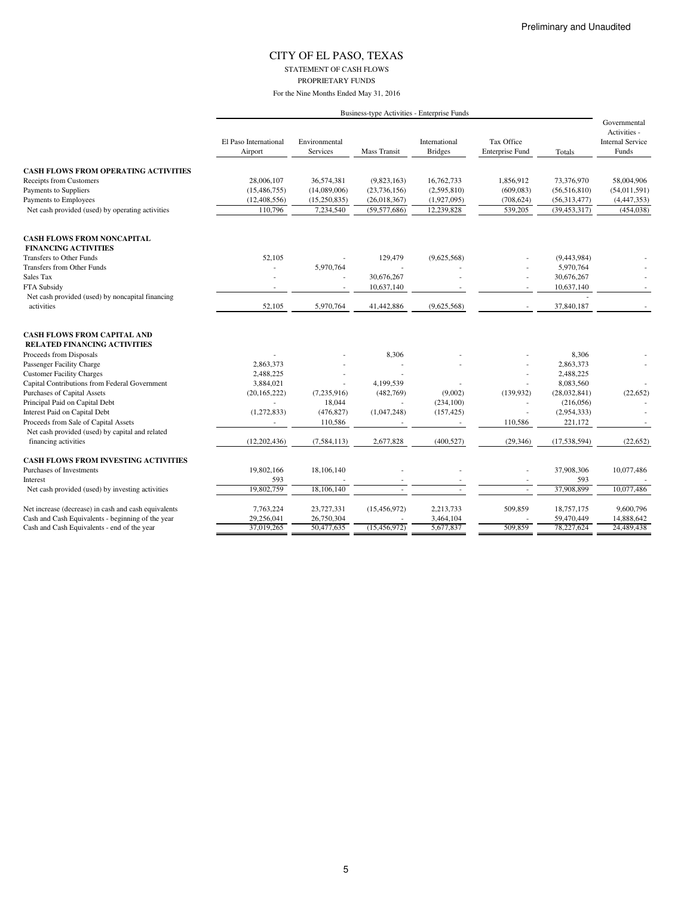STATEMENT OF CASH FLOWS PROPRIETARY FUNDS

|                                                                                   |                                  |                                  | Business-type Activities - Enterprise Funds |                                 |                                      |                              |                                                                  |
|-----------------------------------------------------------------------------------|----------------------------------|----------------------------------|---------------------------------------------|---------------------------------|--------------------------------------|------------------------------|------------------------------------------------------------------|
|                                                                                   | El Paso International<br>Airport | Environmental<br><b>Services</b> | Mass Transit                                | International<br><b>Bridges</b> | Tax Office<br><b>Enterprise Fund</b> | Totals                       | Governmental<br>Activities -<br><b>Internal Service</b><br>Funds |
|                                                                                   |                                  |                                  |                                             |                                 |                                      |                              |                                                                  |
| <b>CASH FLOWS FROM OPERATING ACTIVITIES</b>                                       |                                  | 36,574,381                       |                                             |                                 |                                      |                              | 58,004,906                                                       |
| <b>Receipts from Customers</b><br>Payments to Suppliers                           | 28,006,107<br>(15, 486, 755)     | (14,089,006)                     | (9,823,163)<br>(23, 736, 156)               | 16,762,733<br>(2,595,810)       | 1.856.912<br>(609, 083)              | 73,376,970<br>(56, 516, 810) | (54,011,591)                                                     |
| Payments to Employees                                                             | (12, 408, 556)                   | (15,250,835)                     | (26,018,367)                                | (1,927,095)                     | (708, 624)                           | (56,313,477)                 | (4,447,353)                                                      |
| Net cash provided (used) by operating activities                                  | 110,796                          | 7,234,540                        | (59, 577, 686)                              | 12,239,828                      | 539,205                              | (39, 453, 317)               | (454, 038)                                                       |
|                                                                                   |                                  |                                  |                                             |                                 |                                      |                              |                                                                  |
| <b>CASH FLOWS FROM NONCAPITAL</b><br><b>FINANCING ACTIVITIES</b>                  |                                  |                                  |                                             |                                 |                                      |                              |                                                                  |
| Transfers to Other Funds                                                          | 52,105                           |                                  | 129,479                                     | (9,625,568)                     |                                      | (9,443,984)                  |                                                                  |
| Transfers from Other Funds                                                        |                                  | 5,970,764                        |                                             |                                 |                                      | 5,970,764                    |                                                                  |
| Sales Tax                                                                         |                                  |                                  | 30,676,267                                  |                                 |                                      | 30,676,267                   |                                                                  |
| FTA Subsidy                                                                       |                                  |                                  | 10,637,140                                  |                                 |                                      | 10,637,140                   | $\sim$                                                           |
| Net cash provided (used) by noncapital financing                                  |                                  |                                  |                                             |                                 |                                      |                              |                                                                  |
| activities                                                                        | 52,105                           | 5,970,764                        | 41,442,886                                  | (9,625,568)                     |                                      | 37,840,187                   |                                                                  |
| <b>CASH FLOWS FROM CAPITAL AND</b>                                                |                                  |                                  |                                             |                                 |                                      |                              |                                                                  |
| <b>RELATED FINANCING ACTIVITIES</b>                                               |                                  |                                  |                                             |                                 |                                      |                              |                                                                  |
| Proceeds from Disposals                                                           |                                  |                                  | 8,306                                       |                                 |                                      | 8,306                        |                                                                  |
| Passenger Facility Charge                                                         | 2,863,373<br>2,488,225           |                                  |                                             |                                 |                                      | 2,863,373<br>2,488,225       |                                                                  |
| <b>Customer Facility Charges</b><br>Capital Contributions from Federal Government | 3,884,021                        |                                  | 4,199,539                                   |                                 |                                      | 8,083,560                    |                                                                  |
| Purchases of Capital Assets                                                       |                                  |                                  | (482,769)                                   |                                 |                                      |                              | (22, 652)                                                        |
| Principal Paid on Capital Debt                                                    | (20, 165, 222)                   | (7,235,916)<br>18,044            |                                             | (9,002)<br>(234, 100)           | (139, 932)                           | (28,032,841)<br>(216,056)    |                                                                  |
| Interest Paid on Capital Debt                                                     | (1,272,833)                      | (476, 827)                       | (1,047,248)                                 | (157, 425)                      |                                      | (2,954,333)                  |                                                                  |
| Proceeds from Sale of Capital Assets                                              | ٠                                | 110,586                          |                                             |                                 | 110,586                              | 221,172                      |                                                                  |
| Net cash provided (used) by capital and related                                   |                                  |                                  |                                             |                                 |                                      |                              |                                                                  |
| financing activities                                                              | (12, 202, 436)                   | (7, 584, 113)                    | 2,677,828                                   | (400, 527)                      | (29, 346)                            | (17,538,594)                 | (22, 652)                                                        |
|                                                                                   |                                  |                                  |                                             |                                 |                                      |                              |                                                                  |
| CASH FLOWS FROM INVESTING ACTIVITIES                                              |                                  |                                  |                                             |                                 |                                      |                              |                                                                  |
| Purchases of Investments                                                          | 19,802,166                       | 18,106,140                       |                                             |                                 |                                      | 37,908,306                   | 10,077,486                                                       |
| Interest                                                                          | 593                              |                                  |                                             |                                 |                                      | 593                          |                                                                  |
| Net cash provided (used) by investing activities                                  | 19,802,759                       | 18,106,140                       |                                             |                                 |                                      | 37,908,899                   | 10,077,486                                                       |
| Net increase (decrease) in cash and cash equivalents                              | 7,763,224                        | 23,727,331                       | (15, 456, 972)                              | 2,213,733                       | 509,859                              | 18,757,175                   | 9,600,796                                                        |
| Cash and Cash Equivalents - beginning of the year                                 | 29,256,041                       | 26,750,304                       |                                             | 3,464,104                       |                                      | 59,470,449                   | 14,888,642                                                       |
| Cash and Cash Equivalents - end of the year                                       | 37,019,265                       | 50,477,635                       | (15, 456, 972)                              | 5,677,837                       | 509.859                              | 78,227,624                   | 24,489,438                                                       |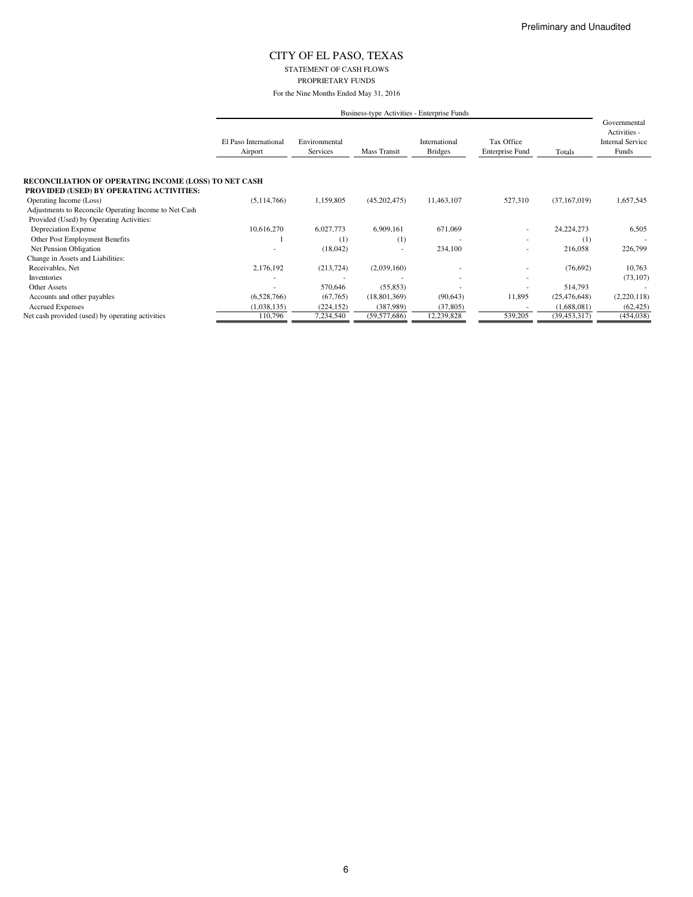STATEMENT OF CASH FLOWS PROPRIETARY FUNDS

|                                                              |                                  |                           |                | Business-type Activities - Enterprise Funds |                                      |                |                                                                  |
|--------------------------------------------------------------|----------------------------------|---------------------------|----------------|---------------------------------------------|--------------------------------------|----------------|------------------------------------------------------------------|
|                                                              | El Paso International<br>Airport | Environmental<br>Services | Mass Transit   | International<br><b>Bridges</b>             | Tax Office<br><b>Enterprise Fund</b> | Totals         | Governmental<br>Activities -<br><b>Internal Service</b><br>Funds |
| <b>RECONCILIATION OF OPERATING INCOME (LOSS) TO NET CASH</b> |                                  |                           |                |                                             |                                      |                |                                                                  |
| PROVIDED (USED) BY OPERATING ACTIVITIES:                     |                                  |                           |                |                                             |                                      |                |                                                                  |
| Operating Income (Loss)                                      | (5,114,766)                      | 1,159,805                 | (45,202,475)   | 11,463,107                                  | 527,310                              | (37, 167, 019) | 1,657,545                                                        |
| Adjustments to Reconcile Operating Income to Net Cash        |                                  |                           |                |                                             |                                      |                |                                                                  |
| Provided (Used) by Operating Activities:                     |                                  |                           |                |                                             |                                      |                |                                                                  |
| Depreciation Expense                                         | 10,616,270                       | 6,027,773                 | 6,909,161      | 671,069                                     | ٠                                    | 24, 224, 273   | 6,505                                                            |
| Other Post Employment Benefits                               |                                  | (1)                       | (1)            |                                             |                                      | (1)            |                                                                  |
| Net Pension Obligation                                       |                                  | (18,042)                  |                | 234,100                                     | ÷                                    | 216,058        | 226,799                                                          |
| Change in Assets and Liabilities:                            |                                  |                           |                |                                             |                                      |                |                                                                  |
| Receivables, Net                                             | 2,176,192                        | (213, 724)                | (2,039,160)    |                                             | ٠                                    | (76,692)       | 10,763                                                           |
| Inventories                                                  |                                  |                           |                |                                             |                                      |                | (73, 107)                                                        |
| Other Assets                                                 |                                  | 570,646                   | (55, 853)      |                                             |                                      | 514,793        |                                                                  |
| Accounts and other payables                                  | (6,528,766)                      | (67,765)                  | (18, 801, 369) | (90, 643)                                   | 11,895                               | (25, 476, 648) | (2,220,118)                                                      |
| <b>Accrued Expenses</b>                                      | (1,038,135)                      | (224, 152)                | (387, 989)     | (37, 805)                                   |                                      | (1,688,081)    | (62, 425)                                                        |
| Net cash provided (used) by operating activities             | 110,796                          | 7,234,540                 | (59, 577, 686) | 12,239,828                                  | 539,205                              | (39, 453, 317) | (454, 038)                                                       |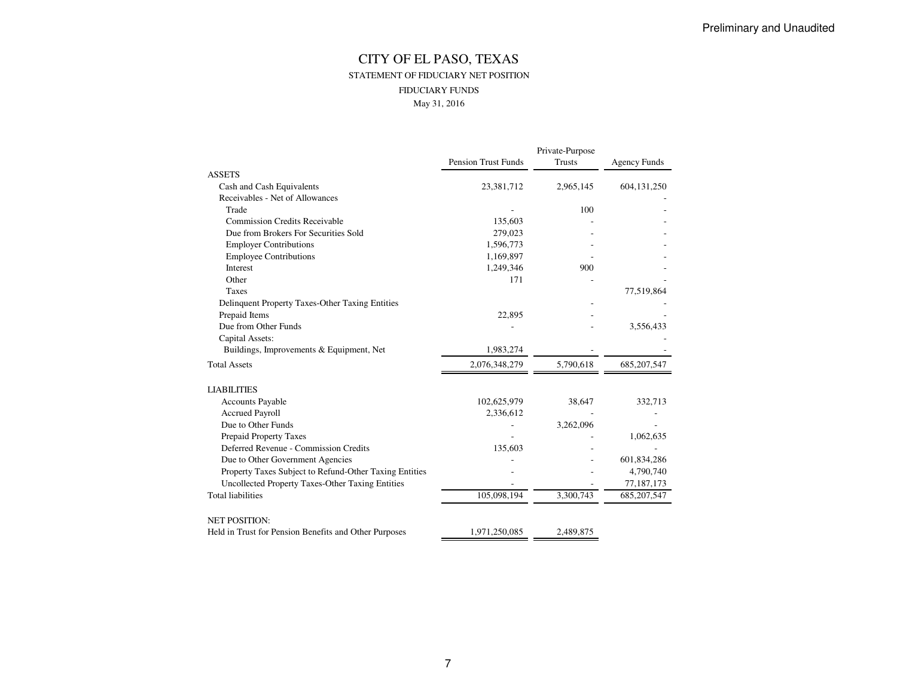### CITY OF EL PASO, TEXAS STATEMENT OF FIDUCIARY NET POSITIONFIDUCIARY FUNDSMay 31, 2016

|                                                        |                            | Private-Purpose |                     |
|--------------------------------------------------------|----------------------------|-----------------|---------------------|
|                                                        | <b>Pension Trust Funds</b> | <b>Trusts</b>   | <b>Agency Funds</b> |
| <b>ASSETS</b>                                          |                            |                 |                     |
| Cash and Cash Equivalents                              | 23,381,712                 | 2,965,145       | 604,131,250         |
| Receivables - Net of Allowances                        |                            |                 |                     |
| Trade                                                  |                            | 100             |                     |
| <b>Commission Credits Receivable</b>                   | 135,603                    |                 |                     |
| Due from Brokers For Securities Sold                   | 279,023                    |                 |                     |
| <b>Employer Contributions</b>                          | 1,596,773                  |                 |                     |
| <b>Employee Contributions</b>                          | 1,169,897                  |                 |                     |
| Interest                                               | 1,249,346                  | 900             |                     |
| Other                                                  | 171                        |                 |                     |
| <b>Taxes</b>                                           |                            |                 | 77,519,864          |
| Delinquent Property Taxes-Other Taxing Entities        |                            |                 |                     |
| Prepaid Items                                          | 22,895                     |                 |                     |
| Due from Other Funds                                   |                            |                 | 3,556,433           |
| Capital Assets:                                        |                            |                 |                     |
| Buildings, Improvements & Equipment, Net               | 1,983,274                  |                 |                     |
| <b>Total Assets</b>                                    | 2,076,348,279              | 5,790,618       | 685, 207, 547       |
| <b>LIABILITIES</b>                                     |                            |                 |                     |
| <b>Accounts Payable</b>                                | 102,625,979                | 38,647          | 332,713             |
| <b>Accrued Payroll</b>                                 | 2,336,612                  |                 |                     |
| Due to Other Funds                                     |                            | 3,262,096       |                     |
| Prepaid Property Taxes                                 |                            |                 | 1,062,635           |
| Deferred Revenue - Commission Credits                  | 135,603                    |                 |                     |
| Due to Other Government Agencies                       |                            |                 | 601,834,286         |
| Property Taxes Subject to Refund-Other Taxing Entities |                            |                 | 4,790,740           |
| Uncollected Property Taxes-Other Taxing Entities       |                            |                 | 77,187,173          |
| <b>Total liabilities</b>                               | 105,098,194                | 3,300,743       | 685, 207, 547       |
| <b>NET POSITION:</b>                                   |                            |                 |                     |
| Held in Trust for Pension Benefits and Other Purposes  | 1,971,250,085              | 2,489,875       |                     |
|                                                        |                            |                 |                     |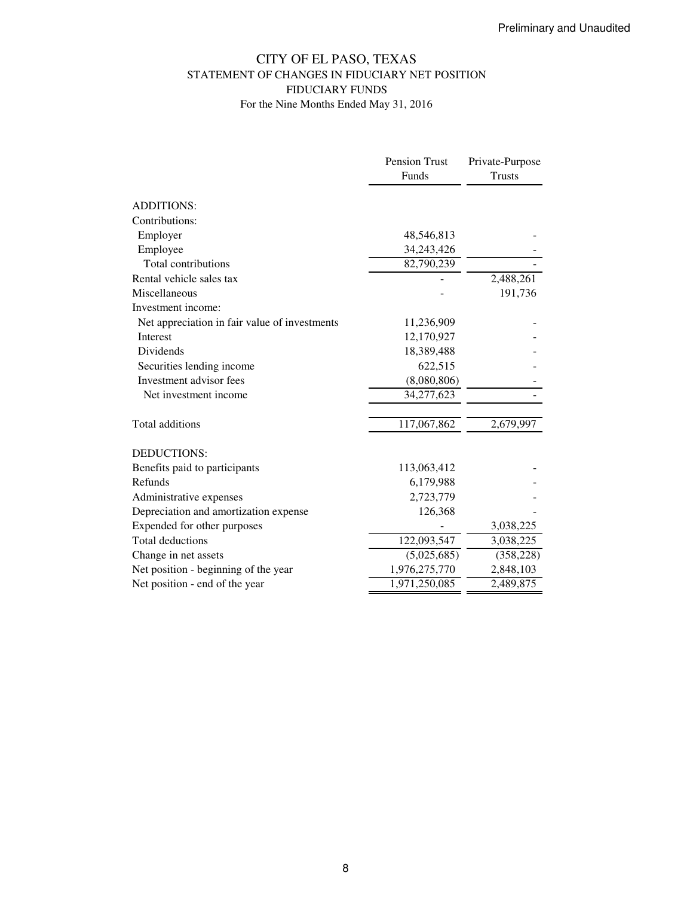### CITY OF EL PASO, TEXAS STATEMENT OF CHANGES IN FIDUCIARY NET POSITION FIDUCIARY FUNDS For the Nine Months Ended May 31, 2016

|                                               | Pension Trust | Private-Purpose |
|-----------------------------------------------|---------------|-----------------|
|                                               | Funds         | <b>Trusts</b>   |
|                                               |               |                 |
| <b>ADDITIONS:</b>                             |               |                 |
| Contributions:                                |               |                 |
| Employer                                      | 48,546,813    |                 |
| Employee                                      | 34,243,426    |                 |
| Total contributions                           | 82,790,239    |                 |
| Rental vehicle sales tax                      |               | 2,488,261       |
| Miscellaneous                                 |               | 191,736         |
| Investment income:                            |               |                 |
| Net appreciation in fair value of investments | 11,236,909    |                 |
| Interest                                      | 12,170,927    |                 |
| Dividends                                     | 18,389,488    |                 |
| Securities lending income                     | 622,515       |                 |
| Investment advisor fees                       | (8,080,806)   |                 |
| Net investment income                         | 34,277,623    |                 |
| Total additions                               | 117,067,862   | 2,679,997       |
| <b>DEDUCTIONS:</b>                            |               |                 |
| Benefits paid to participants                 | 113,063,412   |                 |
| Refunds                                       | 6,179,988     |                 |
| Administrative expenses                       | 2,723,779     |                 |
| Depreciation and amortization expense         | 126,368       |                 |
| Expended for other purposes                   |               | 3,038,225       |
| <b>Total deductions</b>                       | 122,093,547   | 3,038,225       |
| Change in net assets                          | (5,025,685)   | (358, 228)      |
| Net position - beginning of the year          | 1,976,275,770 | 2,848,103       |
| Net position - end of the year                | 1,971,250,085 | 2,489,875       |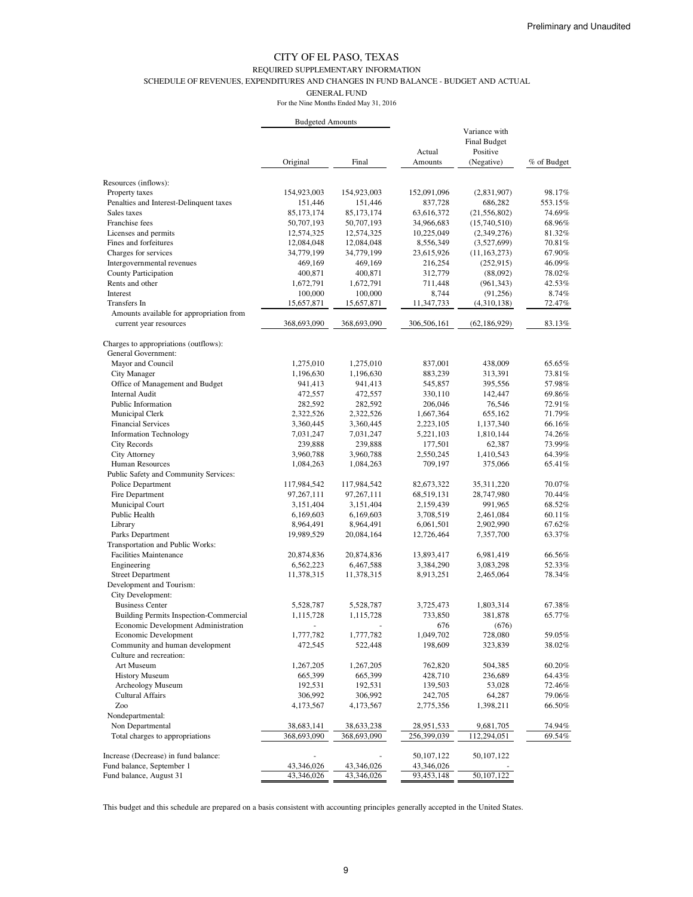#### REQUIRED SUPPLEMENTARY INFORMATION

SCHEDULE OF REVENUES, EXPENDITURES AND CHANGES IN FUND BALANCE - BUDGET AND ACTUAL

GENERAL FUND

For the Nine Months Ended May 31, 2016

|                                                                   |              |              | Actual                     | Variance with<br>Final Budget<br>Positive |             |
|-------------------------------------------------------------------|--------------|--------------|----------------------------|-------------------------------------------|-------------|
|                                                                   | Original     | Final        | Amounts                    | (Negative)                                | % of Budget |
| Resources (inflows):                                              |              |              |                            |                                           |             |
| Property taxes                                                    | 154,923,003  | 154,923,003  | 152,091,096                | (2,831,907)                               | 98.17%      |
| Penalties and Interest-Delinquent taxes                           | 151,446      | 151,446      | 837,728                    | 686,282                                   | 553.15%     |
| Sales taxes                                                       | 85, 173, 174 | 85, 173, 174 | 63,616,372                 | (21, 556, 802)                            | 74.69%      |
| Franchise fees                                                    | 50,707,193   | 50,707,193   | 34,966,683                 | (15,740,510)                              | 68.96%      |
| Licenses and permits                                              | 12,574,325   | 12,574,325   | 10,225,049                 | (2,349,276)                               | 81.32%      |
| Fines and forfeitures                                             | 12,084,048   | 12,084,048   | 8,556,349                  | (3,527,699)                               | 70.81%      |
| Charges for services                                              | 34,779,199   | 34,779,199   | 23,615,926                 | (11, 163, 273)                            | 67.90%      |
| Intergovernmental revenues                                        | 469,169      | 469,169      | 216,254                    | (252, 915)                                | 46.09%      |
| <b>County Participation</b>                                       | 400,871      | 400,871      | 312,779                    | (88,092)                                  | 78.02%      |
| Rents and other                                                   | 1,672,791    | 1,672,791    | 711,448                    | (961, 343)                                | 42.53%      |
| Interest                                                          | 100,000      | 100,000      | 8,744                      | (91,256)                                  | 8.74%       |
| Transfers In                                                      | 15,657,871   | 15,657,871   | 11,347,733                 | (4,310,138)                               | 72.47%      |
| Amounts available for appropriation from                          |              |              |                            |                                           |             |
| current year resources                                            | 368,693,090  | 368,693,090  | 306,506,161                | (62, 186, 929)                            | 83.13%      |
| Charges to appropriations (outflows):                             |              |              |                            |                                           |             |
| General Government:                                               |              |              |                            |                                           |             |
| Mayor and Council                                                 | 1,275,010    | 1,275,010    | 837,001                    | 438,009                                   | 65.65%      |
| City Manager                                                      | 1,196,630    | 1,196,630    | 883,239                    | 313,391                                   | 73.81%      |
| Office of Management and Budget                                   | 941,413      | 941,413      | 545,857                    | 395,556                                   | 57.98%      |
| <b>Internal Audit</b>                                             | 472,557      | 472,557      | 330,110                    | 142,447                                   | 69.86%      |
| Public Information                                                | 282,592      | 282,592      | 206,046                    | 76,546                                    | 72.91%      |
| Municipal Clerk                                                   | 2,322,526    | 2,322,526    | 1,667,364                  | 655,162                                   | 71.79%      |
| <b>Financial Services</b>                                         | 3,360,445    | 3,360,445    | 2,223,105                  | 1,137,340                                 | 66.16%      |
| <b>Information Technology</b>                                     | 7,031,247    | 7,031,247    | 5,221,103                  | 1,810,144                                 | 74.26%      |
| City Records                                                      | 239,888      | 239,888      | 177,501                    | 62,387                                    | 73.99%      |
| <b>City Attorney</b>                                              | 3,960,788    | 3,960,788    | 2,550,245                  | 1,410,543                                 | 64.39%      |
| Human Resources                                                   | 1,084,263    | 1,084,263    | 709,197                    | 375,066                                   | 65.41%      |
| Public Safety and Community Services:                             |              |              |                            |                                           |             |
| Police Department                                                 | 117,984,542  | 117,984,542  | 82,673,322                 | 35, 311, 220                              | 70.07%      |
| Fire Department                                                   | 97, 267, 111 | 97,267,111   | 68,519,131                 | 28,747,980                                | 70.44%      |
| Municipal Court                                                   | 3,151,404    | 3,151,404    | 2,159,439                  | 991,965                                   | 68.52%      |
| Public Health                                                     | 6,169,603    | 6,169,603    | 3,708,519                  | 2,461,084                                 | 60.11%      |
| Library                                                           | 8,964,491    | 8,964,491    | 6,061,501                  | 2,902,990                                 | 67.62%      |
| Parks Department                                                  | 19,989,529   | 20,084,164   | 12,726,464                 | 7,357,700                                 | 63.37%      |
| Transportation and Public Works:                                  |              |              |                            |                                           |             |
| <b>Facilities Maintenance</b>                                     | 20,874,836   | 20,874,836   | 13,893,417                 | 6,981,419                                 | 66.56%      |
| Engineering                                                       | 6,562,223    | 6,467,588    | 3,384,290                  | 3,083,298                                 | 52.33%      |
| <b>Street Department</b>                                          | 11,378,315   | 11,378,315   | 8,913,251                  | 2,465,064                                 | 78.34%      |
| Development and Tourism:<br>City Development:                     |              |              |                            |                                           |             |
| <b>Business Center</b>                                            | 5,528,787    | 5,528,787    | 3,725,473                  | 1,803,314                                 | 67.38%      |
| <b>Building Permits Inspection-Commercial</b>                     | 1,115,728    | 1,115,728    | 733,850                    | 381,878                                   | 65.77%      |
| Economic Development Administration                               |              |              | 676                        | (676)                                     |             |
| Economic Development                                              | 1,777,782    | 1,777,782    | 1,049,702                  | 728,080                                   | 59.05%      |
| Community and human development                                   | 472,545      | 522,448      | 198,609                    | 323,839                                   | 38.02%      |
| Culture and recreation:                                           |              |              |                            |                                           |             |
| Art Museum                                                        | 1,267,205    | 1,267,205    | 762,820                    | 504,385                                   | 60.20%      |
| <b>History Museum</b>                                             | 665,399      | 665,399      | 428,710                    | 236,689                                   | 64.43%      |
| Archeology Museum                                                 | 192,531      | 192,531      | 139,503                    | 53,028                                    | 72.46%      |
| <b>Cultural Affairs</b>                                           | 306,992      | 306,992      | 242,705                    | 64,287                                    | 79.06%      |
| Zoo                                                               | 4,173,567    | 4,173,567    | 2,775,356                  | 1,398,211                                 | 66.50%      |
| Nondepartmental:                                                  |              |              |                            |                                           |             |
| Non Departmental                                                  | 38,683,141   | 38,633,238   | 28,951,533                 | 9,681,705                                 | 74.94%      |
| Total charges to appropriations                                   | 368,693,090  | 368,693,090  | 256,399,039                | 112,294,051                               | 69.54%      |
|                                                                   |              |              |                            |                                           |             |
| Increase (Decrease) in fund balance:<br>Fund balance, September 1 | 43,346,026   | 43,346,026   | 50, 107, 122<br>43,346,026 | 50,107,122                                |             |
| Fund balance, August 31                                           | 43,346,026   | 43,346,026   | 93,453,148                 | 50,107,122                                |             |

This budget and this schedule are prepared on a basis consistent with accounting principles generally accepted in the United States.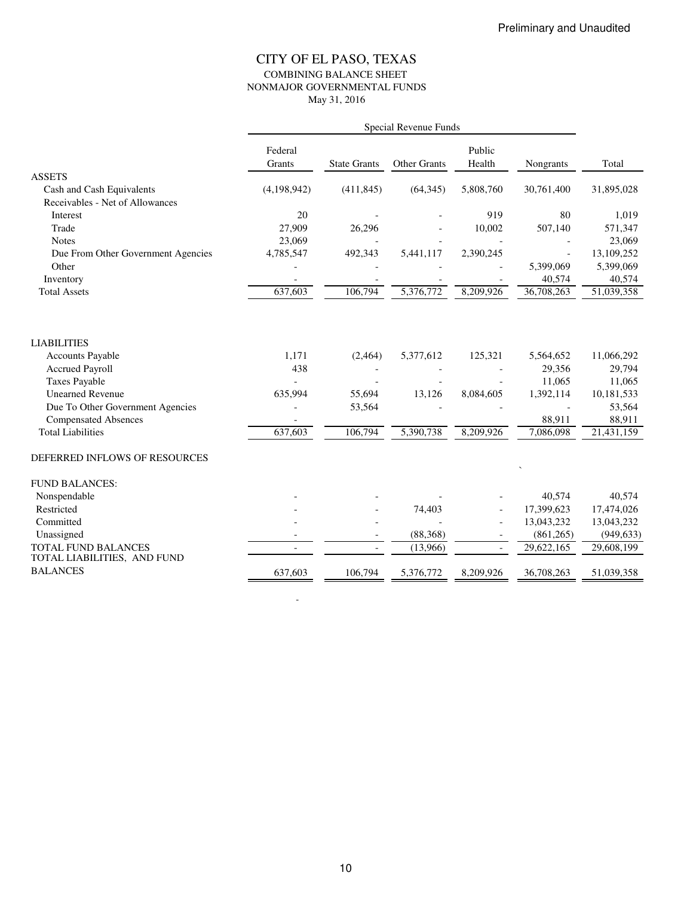### CITY OF EL PASO, TEXAS COMBINING BALANCE SHEET NONMAJOR GOVERNMENTAL FUNDS May 31, 2016

|                                    | Federal<br>Grants | <b>State Grants</b> | <b>Other Grants</b> | Public<br>Health | Nongrants              | Total      |
|------------------------------------|-------------------|---------------------|---------------------|------------------|------------------------|------------|
| <b>ASSETS</b>                      |                   |                     |                     |                  |                        |            |
| Cash and Cash Equivalents          | (4,198,942)       | (411, 845)          | (64, 345)           | 5,808,760        | 30,761,400             | 31,895,028 |
| Receivables - Net of Allowances    |                   |                     |                     |                  |                        |            |
| Interest                           | 20                |                     |                     | 919              | 80                     | 1,019      |
| Trade                              | 27,909            | 26,296              |                     | 10,002           | 507,140                | 571,347    |
| <b>Notes</b>                       | 23,069            |                     |                     |                  |                        | 23,069     |
| Due From Other Government Agencies | 4,785,547         | 492,343             | 5,441,117           | 2,390,245        |                        | 13,109,252 |
| Other                              |                   |                     |                     |                  | 5,399,069              | 5,399,069  |
| Inventory                          |                   |                     |                     |                  | 40,574                 | 40,574     |
| <b>Total Assets</b>                | 637,603           | 106,794             | 5,376,772           | 8,209,926        | 36,708,263             | 51,039,358 |
|                                    |                   |                     |                     |                  |                        |            |
| <b>LIABILITIES</b>                 |                   |                     |                     |                  |                        |            |
| <b>Accounts Payable</b>            | 1,171             | (2,464)             | 5,377,612           | 125,321          | 5,564,652              | 11,066,292 |
| <b>Accrued Payroll</b>             | 438               |                     |                     |                  | 29,356                 | 29,794     |
| <b>Taxes Payable</b>               |                   |                     |                     |                  | 11,065                 | 11,065     |
| <b>Unearned Revenue</b>            | 635,994           | 55,694              | 13,126              | 8,084,605        | 1,392,114              | 10,181,533 |
| Due To Other Government Agencies   |                   | 53,564              |                     |                  |                        | 53,564     |
| <b>Compensated Absences</b>        |                   |                     |                     |                  | 88,911                 | 88,911     |
| <b>Total Liabilities</b>           | 637,603           | 106,794             | 5,390,738           | 8,209,926        | $\overline{7,086,098}$ | 21,431,159 |
| DEFERRED INFLOWS OF RESOURCES      |                   |                     |                     |                  |                        |            |
| <b>FUND BALANCES:</b>              |                   |                     |                     |                  |                        |            |
| Nonspendable                       |                   |                     |                     |                  | 40,574                 | 40,574     |
| Restricted                         |                   |                     | 74,403              |                  | 17,399,623             | 17,474,026 |
| Committed                          |                   |                     |                     |                  | 13,043,232             | 13,043,232 |
| Unassigned                         |                   |                     | (88, 368)           |                  | (861, 265)             | (949, 633) |
| TOTAL FUND BALANCES                |                   | $\blacksquare$      | (13,966)            |                  | 29,622,165             | 29,608,199 |
| TOTAL LIABILITIES, AND FUND        |                   |                     |                     |                  |                        |            |
| <b>BALANCES</b>                    | 637,603           | 106,794             | 5,376,772           | 8,209,926        | 36,708,263             | 51,039,358 |

-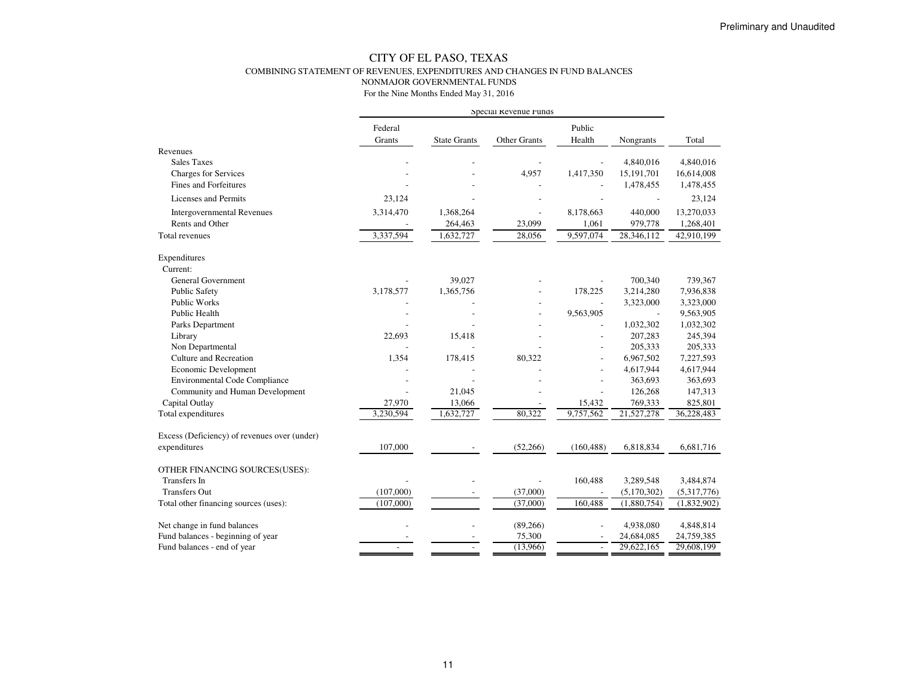### CITY OF EL PASO, TEXAS COMBINING STATEMENT OF REVENUES, EXPENDITURES AND CHANGES IN FUND BALANCESNONMAJOR GOVERNMENTAL FUNDS

|                                              |                   |                     | Special Revenue runds |                          |                          |             |
|----------------------------------------------|-------------------|---------------------|-----------------------|--------------------------|--------------------------|-------------|
|                                              | Federal<br>Grants | <b>State Grants</b> | Other Grants          | Public<br>Health         | Nongrants                | Total       |
| Revenues                                     |                   |                     |                       |                          |                          |             |
| <b>Sales Taxes</b>                           |                   |                     |                       |                          | 4,840,016                | 4,840,016   |
| <b>Charges for Services</b>                  |                   |                     | 4,957                 | 1,417,350                | 15,191,701               | 16,614,008  |
| Fines and Forfeitures                        |                   |                     |                       |                          | 1,478,455                | 1,478,455   |
| Licenses and Permits                         | 23,124            |                     |                       |                          |                          | 23,124      |
| <b>Intergovernmental Revenues</b>            | 3,314,470         | 1,368,264           |                       | 8,178,663                | 440,000                  | 13,270,033  |
| Rents and Other                              |                   | 264,463             | 23,099                | 1,061                    | 979,778                  | 1,268,401   |
| Total revenues                               | 3,337,594         | 1,632,727           | 28,056                | 9,597,074                | 28,346,112               | 42,910,199  |
| Expenditures                                 |                   |                     |                       |                          |                          |             |
| Current:                                     |                   |                     |                       |                          |                          |             |
| <b>General Government</b>                    |                   | 39,027              |                       |                          | 700,340                  | 739,367     |
| <b>Public Safety</b>                         | 3,178,577         | 1,365,756           |                       | 178,225                  | 3,214,280                | 7,936,838   |
| <b>Public Works</b>                          |                   |                     |                       |                          | 3,323,000                | 3,323,000   |
| Public Health                                |                   |                     |                       | 9,563,905                | $\overline{\phantom{a}}$ | 9,563,905   |
| Parks Department                             |                   |                     |                       |                          | 1,032,302                | 1,032,302   |
| Library                                      | 22,693            | 15,418              |                       |                          | 207,283                  | 245,394     |
| Non Departmental                             |                   |                     |                       |                          | 205,333                  | 205,333     |
| Culture and Recreation                       | 1,354             | 178,415             | 80,322                |                          | 6,967,502                | 7,227,593   |
| Economic Development                         |                   |                     |                       |                          | 4,617,944                | 4,617,944   |
| <b>Environmental Code Compliance</b>         |                   |                     |                       |                          | 363,693                  | 363,693     |
| Community and Human Development              |                   | 21.045              |                       | $\overline{a}$           | 126,268                  | 147,313     |
| Capital Outlay                               | 27,970            | 13,066              |                       | 15,432                   | 769,333                  | 825,801     |
| Total expenditures                           | 3,230,594         | 1,632,727           | 80,322                | 9,757,562                | 21,527,278               | 36,228,483  |
| Excess (Deficiency) of revenues over (under) |                   |                     |                       |                          |                          |             |
| expenditures                                 | 107,000           |                     | (52,266)              | (160, 488)               | 6,818,834                | 6,681,716   |
| OTHER FINANCING SOURCES(USES):               |                   |                     |                       |                          |                          |             |
| <b>Transfers</b> In                          |                   |                     |                       | 160,488                  | 3,289,548                | 3,484,874   |
| <b>Transfers Out</b>                         | (107,000)         |                     | (37,000)              | $\overline{\phantom{a}}$ | (5,170,302)              | (5,317,776) |
| Total other financing sources (uses):        | (107,000)         |                     | (37,000)              | 160,488                  | (1,880,754)              | (1,832,902) |
| Net change in fund balances                  |                   |                     | (89,266)              |                          | 4,938,080                | 4,848,814   |
| Fund balances - beginning of year            |                   |                     | 75,300                |                          | 24,684,085               | 24,759,385  |
| Fund balances - end of year                  |                   |                     | (13,966)              | $\overline{\phantom{a}}$ | 29,622,165               | 29,608,199  |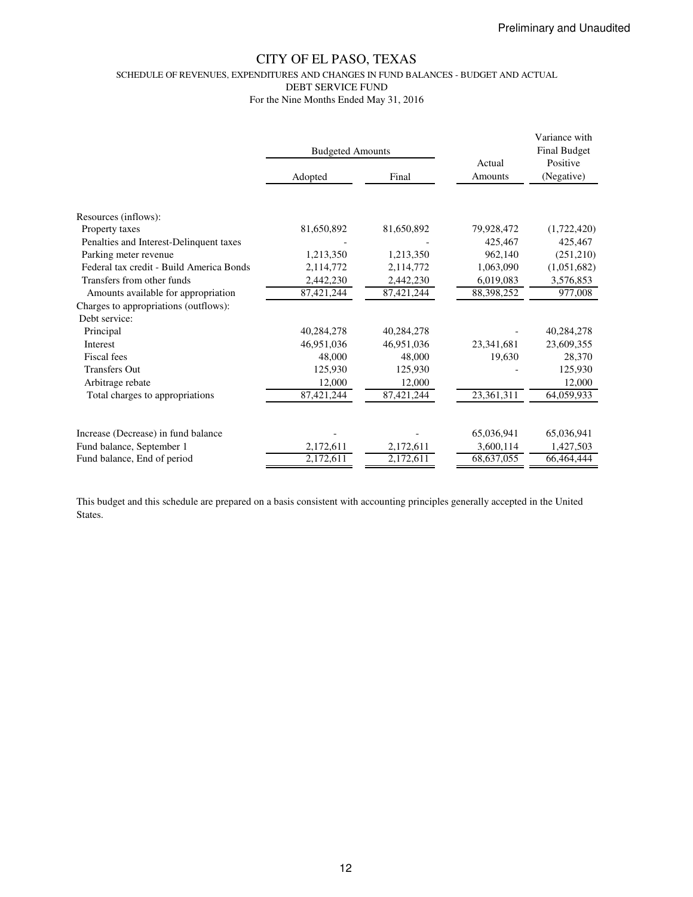SCHEDULE OF REVENUES, EXPENDITURES AND CHANGES IN FUND BALANCES - BUDGET AND ACTUAL

DEBT SERVICE FUND

For the Nine Months Ended May 31, 2016

|                                          | <b>Budgeted Amounts</b> |            |                   | Variance with<br><b>Final Budget</b> |
|------------------------------------------|-------------------------|------------|-------------------|--------------------------------------|
|                                          | Adopted                 | Final      | Actual<br>Amounts | Positive<br>(Negative)               |
| Resources (inflows):                     |                         |            |                   |                                      |
| Property taxes                           | 81,650,892              | 81,650,892 | 79,928,472        | (1,722,420)                          |
| Penalties and Interest-Delinquent taxes  |                         |            | 425,467           | 425,467                              |
| Parking meter revenue                    | 1,213,350               | 1,213,350  | 962,140           | (251,210)                            |
| Federal tax credit - Build America Bonds | 2,114,772               | 2,114,772  | 1,063,090         | (1,051,682)                          |
| Transfers from other funds               | 2,442,230               | 2,442,230  | 6,019,083         | 3,576,853                            |
| Amounts available for appropriation      | 87,421,244              | 87,421,244 | 88,398,252        | 977,008                              |
| Charges to appropriations (outflows):    |                         |            |                   |                                      |
| Debt service:                            |                         |            |                   |                                      |
| Principal                                | 40,284,278              | 40,284,278 |                   | 40,284,278                           |
| <b>Interest</b>                          | 46,951,036              | 46,951,036 | 23,341,681        | 23,609,355                           |
| Fiscal fees                              | 48,000                  | 48,000     | 19,630            | 28,370                               |
| <b>Transfers Out</b>                     | 125,930                 | 125,930    |                   | 125,930                              |
| Arbitrage rebate                         | 12,000                  | 12,000     |                   | 12,000                               |
| Total charges to appropriations          | 87,421,244              | 87,421,244 | 23,361,311        | 64,059,933                           |
| Increase (Decrease) in fund balance      |                         |            | 65,036,941        | 65,036,941                           |
| Fund balance, September 1                | 2,172,611               | 2,172,611  | 3,600,114         | 1,427,503                            |
| Fund balance, End of period              | 2,172,611               | 2,172,611  | 68,637,055        | 66,464,444                           |

This budget and this schedule are prepared on a basis consistent with accounting principles generally accepted in the United States.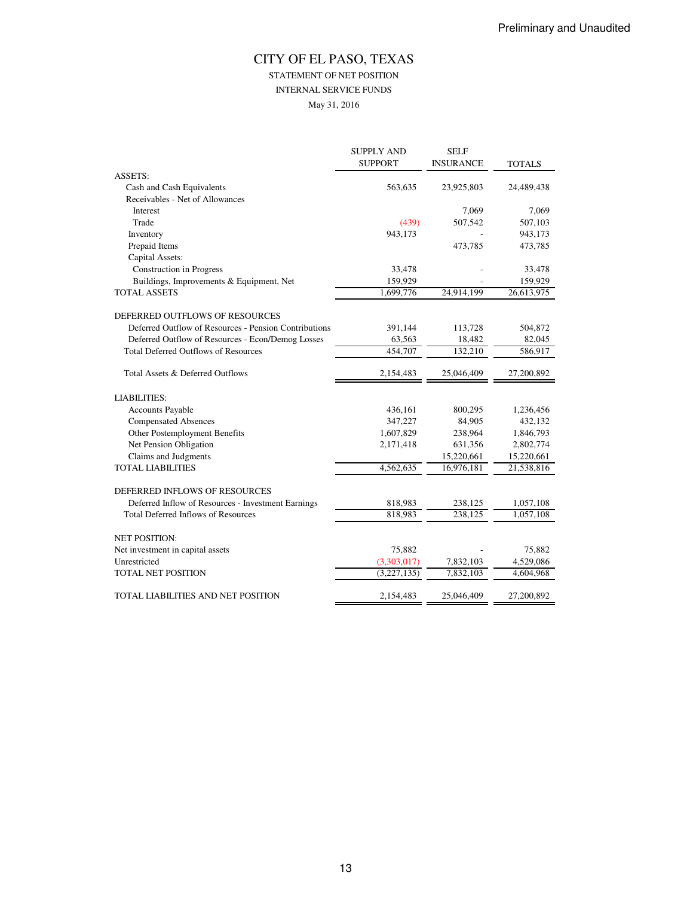## STATEMENT OF NET POSITION

INTERNAL SERVICE FUNDS

May 31, 2016

|                                                       | <b>SUPPLY AND</b> | <b>SELF</b>      |               |
|-------------------------------------------------------|-------------------|------------------|---------------|
|                                                       | <b>SUPPORT</b>    | <b>INSURANCE</b> | <b>TOTALS</b> |
| <b>ASSETS:</b>                                        |                   |                  |               |
| Cash and Cash Equivalents                             | 563,635           | 23,925,803       | 24,489,438    |
| Receivables - Net of Allowances                       |                   |                  |               |
| Interest                                              |                   | 7,069            | 7,069         |
| Trade                                                 | (439)             | 507,542          | 507,103       |
| Inventory                                             | 943,173           |                  | 943,173       |
| Prepaid Items                                         |                   | 473,785          | 473,785       |
| Capital Assets:                                       |                   |                  |               |
| Construction in Progress                              | 33,478            |                  | 33,478        |
| Buildings, Improvements & Equipment, Net              | 159,929           |                  | 159,929       |
| <b>TOTAL ASSETS</b>                                   | 1,699,776         | 24,914,199       | 26,613,975    |
| DEFERRED OUTFLOWS OF RESOURCES                        |                   |                  |               |
| Deferred Outflow of Resources - Pension Contributions | 391,144           | 113,728          | 504,872       |
| Deferred Outflow of Resources - Econ/Demog Losses     | 63,563            | 18,482           | 82,045        |
| <b>Total Deferred Outflows of Resources</b>           | 454,707           | 132,210          | 586,917       |
| Total Assets & Deferred Outflows                      | 2,154,483         | 25,046,409       | 27,200,892    |
| <b>LIABILITIES:</b>                                   |                   |                  |               |
| Accounts Payable                                      | 436,161           | 800,295          | 1,236,456     |
| <b>Compensated Absences</b>                           | 347,227           | 84,905           | 432,132       |
| Other Postemployment Benefits                         | 1,607,829         | 238,964          | 1,846,793     |
| Net Pension Obligation                                | 2,171,418         | 631,356          | 2,802,774     |
| Claims and Judgments                                  |                   | 15,220,661       | 15,220,661    |
| <b>TOTAL LIABILITIES</b>                              | 4,562,635         | 16,976,181       | 21,538,816    |
| DEFERRED INFLOWS OF RESOURCES                         |                   |                  |               |
| Deferred Inflow of Resources - Investment Earnings    | 818,983           | 238,125          | 1,057,108     |
| <b>Total Deferred Inflows of Resources</b>            | 818,983           | 238,125          | 1,057,108     |
| <b>NET POSITION:</b>                                  |                   |                  |               |
| Net investment in capital assets                      | 75,882            |                  | 75,882        |
| Unrestricted                                          | (3,303,017)       | 7,832,103        | 4,529,086     |
| <b>TOTAL NET POSITION</b>                             | (3,227,135)       | 7,832,103        | 4,604,968     |
| TOTAL LIABILITIES AND NET POSITION                    | 2,154,483         | 25,046,409       | 27,200,892    |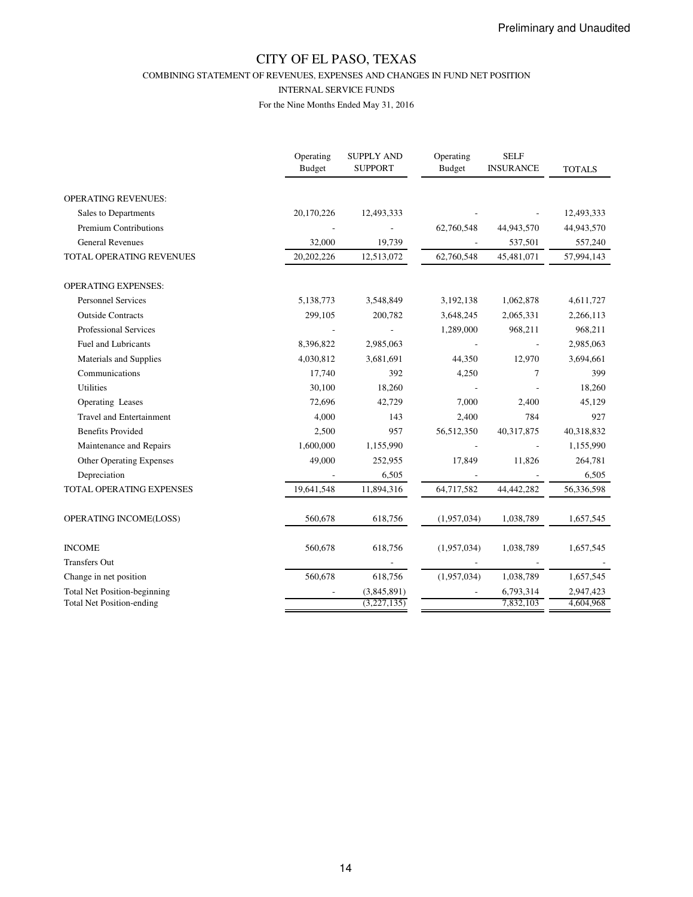COMBINING STATEMENT OF REVENUES, EXPENSES AND CHANGES IN FUND NET POSITION

#### INTERNAL SERVICE FUNDS

|                                     | Operating<br>Budget | <b>SUPPLY AND</b><br><b>SUPPORT</b> | Operating<br><b>Budget</b> | <b>SELF</b><br><b>INSURANCE</b> | <b>TOTALS</b> |
|-------------------------------------|---------------------|-------------------------------------|----------------------------|---------------------------------|---------------|
| <b>OPERATING REVENUES:</b>          |                     |                                     |                            |                                 |               |
| Sales to Departments                | 20,170,226          | 12,493,333                          |                            |                                 | 12,493,333    |
| <b>Premium Contributions</b>        |                     |                                     | 62,760,548                 | 44,943,570                      | 44,943,570    |
| <b>General Revenues</b>             | 32,000              | 19,739                              |                            | 537,501                         | 557,240       |
| <b>TOTAL OPERATING REVENUES</b>     | 20,202,226          | 12,513,072                          | 62,760,548                 | 45,481,071                      | 57,994,143    |
| <b>OPERATING EXPENSES:</b>          |                     |                                     |                            |                                 |               |
| <b>Personnel Services</b>           | 5,138,773           | 3,548,849                           | 3,192,138                  | 1,062,878                       | 4,611,727     |
| <b>Outside Contracts</b>            | 299,105             | 200,782                             | 3,648,245                  | 2,065,331                       | 2,266,113     |
| <b>Professional Services</b>        |                     |                                     | 1,289,000                  | 968,211                         | 968,211       |
| Fuel and Lubricants                 | 8,396,822           | 2,985,063                           |                            |                                 | 2,985,063     |
| Materials and Supplies              | 4,030,812           | 3,681,691                           | 44,350                     | 12,970                          | 3,694,661     |
| Communications                      | 17,740              | 392                                 | 4,250                      | 7                               | 399           |
| <b>Utilities</b>                    | 30,100              | 18,260                              |                            |                                 | 18,260        |
| Operating Leases                    | 72,696              | 42,729                              | 7,000                      | 2,400                           | 45,129        |
| <b>Travel and Entertainment</b>     | 4,000               | 143                                 | 2,400                      | 784                             | 927           |
| <b>Benefits Provided</b>            | 2,500               | 957                                 | 56,512,350                 | 40,317,875                      | 40,318,832    |
| Maintenance and Repairs             | 1,600,000           | 1,155,990                           |                            |                                 | 1,155,990     |
| <b>Other Operating Expenses</b>     | 49,000              | 252,955                             | 17,849                     | 11,826                          | 264,781       |
| Depreciation                        |                     | 6,505                               |                            |                                 | 6,505         |
| <b>TOTAL OPERATING EXPENSES</b>     | 19,641,548          | 11,894,316                          | 64,717,582                 | 44,442,282                      | 56,336,598    |
| OPERATING INCOME(LOSS)              | 560,678             | 618,756                             | (1,957,034)                | 1,038,789                       | 1,657,545     |
| <b>INCOME</b>                       | 560,678             | 618,756                             | (1,957,034)                | 1,038,789                       | 1,657,545     |
| <b>Transfers Out</b>                |                     |                                     |                            |                                 |               |
| Change in net position              | 560,678             | 618,756                             | (1,957,034)                | 1,038,789                       | 1,657,545     |
| <b>Total Net Position-beginning</b> |                     | (3,845,891)                         |                            | 6,793,314                       | 2,947,423     |
| <b>Total Net Position-ending</b>    |                     | (3,227,135)                         |                            | 7,832,103                       | 4,604,968     |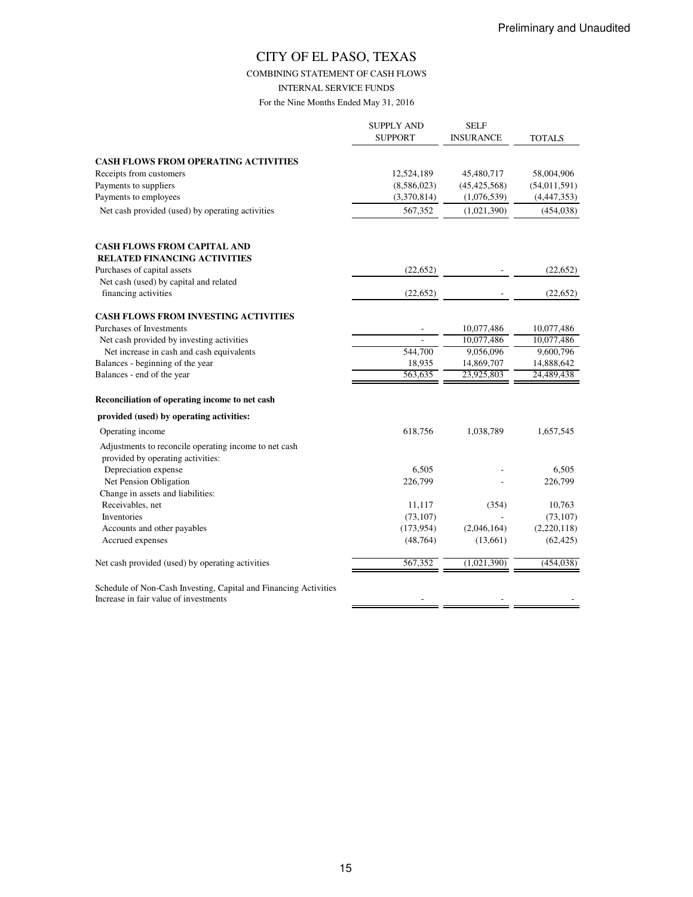COMBINING STATEMENT OF CASH FLOWS

INTERNAL SERVICE FUNDS

|                                                                                                           | <b>SUPPLY AND</b><br><b>SUPPORT</b> | <b>SELF</b><br><b>INSURANCE</b> | TOTALS         |
|-----------------------------------------------------------------------------------------------------------|-------------------------------------|---------------------------------|----------------|
| <b>CASH FLOWS FROM OPERATING ACTIVITIES</b>                                                               |                                     |                                 |                |
| Receipts from customers                                                                                   | 12,524,189                          | 45,480,717                      | 58,004,906     |
| Payments to suppliers                                                                                     | (8,586,023)                         | (45, 425, 568)                  | (54, 011, 591) |
| Payments to employees                                                                                     | (3,370,814)                         | (1,076,539)                     | (4,447,353)    |
| Net cash provided (used) by operating activities                                                          | 567,352                             | (1,021,390)                     | (454, 038)     |
| <b>CASH FLOWS FROM CAPITAL AND</b><br><b>RELATED FINANCING ACTIVITIES</b>                                 |                                     |                                 |                |
| Purchases of capital assets                                                                               | (22, 652)                           |                                 | (22, 652)      |
| Net cash (used) by capital and related                                                                    |                                     |                                 |                |
| financing activities                                                                                      | (22, 652)                           |                                 | (22, 652)      |
| <b>CASH FLOWS FROM INVESTING ACTIVITIES</b>                                                               |                                     |                                 |                |
| Purchases of Investments                                                                                  |                                     | 10,077,486                      | 10,077,486     |
| Net cash provided by investing activities                                                                 |                                     | 10,077,486                      | 10,077,486     |
| Net increase in cash and cash equivalents                                                                 | 544,700                             | 9,056,096                       | 9,600,796      |
| Balances - beginning of the year                                                                          | 18,935                              | 14,869,707                      | 14,888,642     |
| Balances - end of the year                                                                                | 563,635                             | 23,925,803                      | 24,489,438     |
| Reconciliation of operating income to net cash                                                            |                                     |                                 |                |
| provided (used) by operating activities:                                                                  |                                     |                                 |                |
| Operating income                                                                                          | 618,756                             | 1,038,789                       | 1,657,545      |
| Adjustments to reconcile operating income to net cash<br>provided by operating activities:                |                                     |                                 |                |
| Depreciation expense                                                                                      | 6,505                               |                                 | 6,505          |
| Net Pension Obligation                                                                                    | 226,799                             |                                 | 226,799        |
| Change in assets and liabilities:                                                                         |                                     |                                 |                |
| Receivables, net                                                                                          | 11,117                              | (354)                           | 10,763         |
| Inventories                                                                                               | (73, 107)                           |                                 | (73, 107)      |
| Accounts and other payables                                                                               | (173, 954)                          | (2,046,164)                     | (2,220,118)    |
| Accrued expenses                                                                                          | (48, 764)                           | (13,661)                        | (62, 425)      |
| Net cash provided (used) by operating activities                                                          | 567,352                             | (1,021,390)                     | (454, 038)     |
| Schedule of Non-Cash Investing, Capital and Financing Activities<br>Increase in fair value of investments |                                     |                                 |                |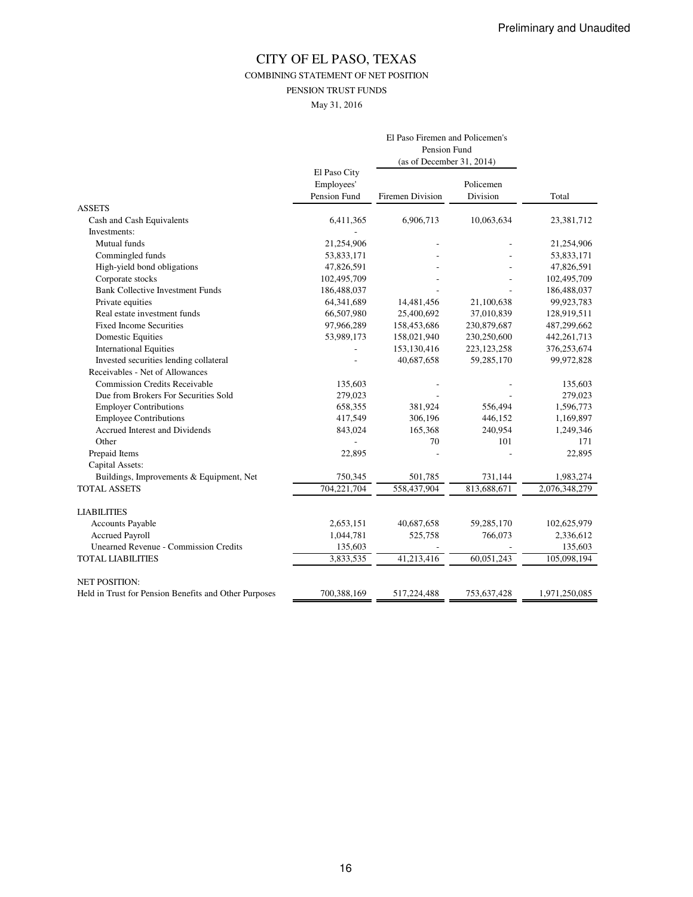COMBINING STATEMENT OF NET POSITION

PENSION TRUST FUNDS

May 31, 2016

|                                                       | El Paso Firemen and Policemen's |                           |               |               |
|-------------------------------------------------------|---------------------------------|---------------------------|---------------|---------------|
|                                                       |                                 | Pension Fund              |               |               |
|                                                       |                                 | (as of December 31, 2014) |               |               |
|                                                       | El Paso City                    |                           |               |               |
|                                                       | Employees'                      |                           | Policemen     |               |
|                                                       | Pension Fund                    | Firemen Division          | Division      | Total         |
| <b>ASSETS</b>                                         |                                 |                           |               |               |
| Cash and Cash Equivalents                             | 6,411,365                       | 6,906,713                 | 10,063,634    | 23,381,712    |
| Investments:                                          |                                 |                           |               |               |
| Mutual funds                                          | 21,254,906                      |                           |               | 21,254,906    |
| Commingled funds                                      | 53,833,171                      |                           |               | 53,833,171    |
| High-yield bond obligations                           | 47,826,591                      |                           |               | 47,826,591    |
| Corporate stocks                                      | 102,495,709                     |                           |               | 102,495,709   |
| <b>Bank Collective Investment Funds</b>               | 186,488,037                     |                           |               | 186,488,037   |
| Private equities                                      | 64,341,689                      | 14,481,456                | 21,100,638    | 99,923,783    |
| Real estate investment funds                          | 66,507,980                      | 25,400,692                | 37,010,839    | 128,919,511   |
| <b>Fixed Income Securities</b>                        | 97,966,289                      | 158,453,686               | 230,879,687   | 487,299,662   |
| <b>Domestic Equities</b>                              | 53,989,173                      | 158,021,940               | 230,250,600   | 442, 261, 713 |
| <b>International Equities</b>                         |                                 | 153,130,416               | 223, 123, 258 | 376,253,674   |
| Invested securities lending collateral                |                                 | 40,687,658                | 59,285,170    | 99,972,828    |
| Receivables - Net of Allowances                       |                                 |                           |               |               |
| <b>Commission Credits Receivable</b>                  | 135,603                         |                           |               | 135,603       |
| Due from Brokers For Securities Sold                  | 279,023                         |                           |               | 279,023       |
| <b>Employer Contributions</b>                         | 658,355                         | 381,924                   | 556,494       | 1,596,773     |
| <b>Employee Contributions</b>                         | 417,549                         | 306,196                   | 446,152       | 1,169,897     |
| Accrued Interest and Dividends                        | 843,024                         | 165,368                   | 240,954       | 1,249,346     |
| Other                                                 |                                 | 70                        | 101           | 171           |
| Prepaid Items                                         | 22,895                          |                           |               | 22,895        |
| Capital Assets:                                       |                                 |                           |               |               |
| Buildings, Improvements & Equipment, Net              | 750,345                         | 501,785                   | 731,144       | 1,983,274     |
| <b>TOTAL ASSETS</b>                                   | 704,221,704                     | 558,437,904               | 813,688,671   | 2,076,348,279 |
| <b>LIABILITIES</b>                                    |                                 |                           |               |               |
| <b>Accounts Payable</b>                               | 2,653,151                       | 40,687,658                | 59,285,170    | 102,625,979   |
| <b>Accrued Payroll</b>                                | 1,044,781                       | 525,758                   | 766,073       | 2,336,612     |
| <b>Unearned Revenue - Commission Credits</b>          | 135,603                         |                           |               | 135,603       |
| <b>TOTAL LIABILITIES</b>                              | 3,833,535                       | 41,213,416                | 60,051,243    | 105,098,194   |
| <b>NET POSITION:</b>                                  |                                 |                           |               |               |
| Held in Trust for Pension Benefits and Other Purposes | 700,388,169                     | 517,224,488               | 753,637,428   | 1,971,250,085 |